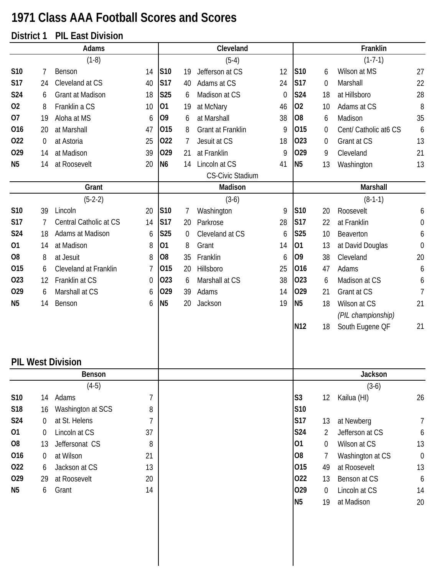## **1971 Class AAA Football Scores and Scores**

## **District 1 PIL East Division**

|                | Adams   |                                    |                | Cleveland       |    |                         | Franklin    |                 |                               |                                  |                  |
|----------------|---------|------------------------------------|----------------|-----------------|----|-------------------------|-------------|-----------------|-------------------------------|----------------------------------|------------------|
|                |         | $(1-8)$                            |                |                 |    | $(5-4)$                 |             |                 |                               | $(1-7-1)$                        |                  |
| S10            | 7       | Benson                             | 14             | S <sub>10</sub> | 19 | Jefferson at CS         | 12          | S10             | 6                             | Wilson at MS                     | 27               |
| <b>S17</b>     | 24      | Cleveland at CS                    | 40             | <b>S17</b>      | 40 | Adams at CS             | 24          | <b>S17</b>      | $\boldsymbol{0}$              | Marshall                         | 22               |
| S24            | 6       | Grant at Madison                   | 18             | <b>S25</b>      | 6  | Madison at CS           | $\mathbf 0$ | S24             | 18                            | at Hillsboro                     | 28               |
| 02             | 8       | Franklin a CS                      | 10             | 01              | 19 | at McNary               | 46          | 02              | 10                            | Adams at CS                      | 8                |
| 07             | 19      | Aloha at MS                        | 6              | 09              | 6  | at Marshall             | 38          | <b>O8</b>       | 6                             | Madison                          | 35               |
| 016            | 20      | at Marshall                        | 47             | 015             | 8  | Grant at Franklin       | 9           | 015             | 0                             | Cent/ Catholic at6 CS            | 6                |
| 022            | 0       | at Astoria                         | 25             | 022             | 7  | Jesuit at CS            | 18          | 023             | 0                             | Grant at CS                      | 13               |
| 029            | 14      | at Madison                         | 39             | 029             | 21 | at Franklin             | 9           | 029             | 9                             | Cleveland                        | 21               |
| N <sub>5</sub> | 14      | at Roosevelt                       | 20             | N <sub>6</sub>  | 14 | Lincoln at CS           | 41          | N <sub>5</sub>  | 13                            | Washington                       | 13               |
|                |         |                                    |                |                 |    | <b>CS-Civic Stadium</b> |             |                 |                               |                                  |                  |
|                |         | Grant                              |                |                 |    | Madison                 |             |                 |                               | Marshall                         |                  |
|                |         | $(5-2-2)$                          |                |                 |    | $(3-6)$                 |             |                 |                               | $(8-1-1)$                        |                  |
| S10            | 39      | Lincoln                            | 20             | S10             | 7  | Washington              | 9           | S10             | 20                            | Roosevelt                        | 6                |
| <b>S17</b>     | 7       | Central Catholic at CS             | 14             | <b>S17</b>      | 20 | Parkrose                | 28          | <b>S17</b>      | 22                            | at Franklin                      | $\boldsymbol{0}$ |
| S24            | 18      | Adams at Madison                   | 6              | S25             | 0  | Cleveland at CS         | 6           | S25             | 10                            | Beaverton                        | 6                |
| 01             | 14      | at Madison                         | 8              | 01              | 8  | Grant                   | 14          | 01              | 13                            | at David Douglas                 | $\mathbf 0$      |
| O <sub>8</sub> | 8       | at Jesuit                          | 8              | O <sub>8</sub>  | 35 | Franklin                | 6           | 09              | 38                            | Cleveland                        | 20               |
| 015            | 6       | Cleveland at Franklin              | $\overline{1}$ | 015             | 20 | Hillsboro               | 25          | 016             | 47                            | Adams                            | 6                |
| 023            | 12      | Franklin at CS                     | 0              | 023             | 6  | Marshall at CS          | 38          | 023             | 6                             | Madison at CS                    | 6                |
| 029            | 6       | Marshall at CS                     | 6              | 029             | 39 | Adams                   | 14          | 029             | 21                            | Grant at CS                      | $\overline{7}$   |
| N <sub>5</sub> | 14      | Benson                             | 6              | N <sub>5</sub>  | 20 | Jackson                 | 19          | N <sub>5</sub>  | 18                            | Wilson at CS                     | 21               |
|                |         |                                    |                |                 |    |                         |             |                 |                               | (PIL championship)               |                  |
|                |         |                                    |                |                 |    |                         |             | N <sub>12</sub> | 18                            | South Eugene OF                  | 21               |
|                |         |                                    |                |                 |    |                         |             |                 |                               |                                  |                  |
|                |         | <b>PIL West Division</b><br>Benson |                |                 |    |                         |             |                 |                               | Jackson                          |                  |
|                |         | $(4-5)$                            |                |                 |    |                         |             |                 |                               | $(3-6)$                          |                  |
| S10            | 14      | Adams                              | $\overline{1}$ |                 |    |                         |             | S3              | 12                            | Kailua (HI)                      | 26               |
| S18            | 16      | Washington at SCS                  | 8              |                 |    |                         |             | S10             |                               |                                  |                  |
| <b>S24</b>     |         | at St. Helens                      | 7              |                 |    |                         |             | S17             | 13                            | at Newberg                       |                  |
| 01             | 0       | Lincoln at CS                      | 37             |                 |    |                         |             | <b>S24</b>      |                               | Jefferson at CS                  | 7                |
| O <sub>8</sub> | 0<br>13 | Jeffersonat CS                     | 8              |                 |    |                         |             | 01              | $\overline{2}$<br>$\mathbf 0$ | Wilson at CS                     | 6<br>13          |
| 016            |         | at Wilson                          | 21             |                 |    |                         |             | 08              |                               |                                  | $\mathbf 0$      |
| 022            | 0<br>6  | Jackson at CS                      | 13             |                 |    |                         |             | 015             | 7<br>49                       | Washington at CS<br>at Roosevelt | 13               |
| 029            |         | at Roosevelt                       | 20             |                 |    |                         |             | 022             |                               | Benson at CS                     |                  |
| N <sub>5</sub> | 29<br>6 | Grant                              | 14             |                 |    |                         |             | 029             | 13<br>$\overline{0}$          | Lincoln at CS                    | 6<br>14          |
|                |         |                                    |                |                 |    |                         |             | N <sub>5</sub>  | 19                            | at Madison                       | 20               |
|                |         |                                    |                |                 |    |                         |             |                 |                               |                                  |                  |
|                |         |                                    |                |                 |    |                         |             |                 |                               |                                  |                  |
|                |         |                                    |                |                 |    |                         |             |                 |                               |                                  |                  |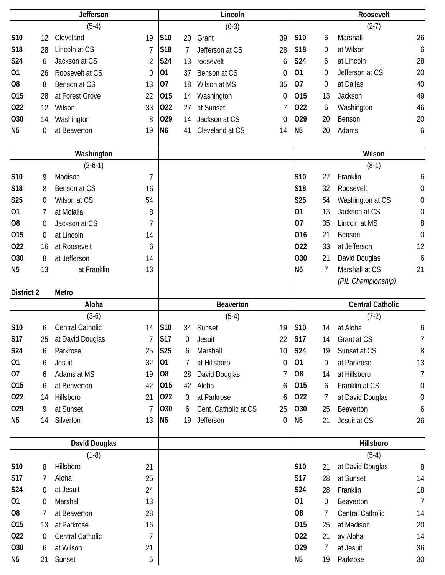|                       | <b>Jefferson</b> |                      |                |                | Lincoln        |                      |             |                       | Roosevelt        |                         |                  |  |
|-----------------------|------------------|----------------------|----------------|----------------|----------------|----------------------|-------------|-----------------------|------------------|-------------------------|------------------|--|
|                       |                  | $(5-4)$              |                |                |                | $(6-3)$              |             |                       |                  | $(2-7)$                 |                  |  |
| S10                   | 12               | Cleveland            | 19             | S10            | 20             | Grant                | 39          | <b>S10</b>            | 6                | Marshall                | 26               |  |
| S18                   | 28               | Lincoln at CS        | 7              | <b>S18</b>     | 7              | Jefferson at CS      | 28          | S18                   | 0                | at Wilson               | 6                |  |
| <b>S24</b>            | 6                | Jackson at CS        | $\overline{2}$ | <b>S24</b>     | 13             | roosevelt            | 6           | S24                   | 6                | at Lincoln              | 28               |  |
| 01                    | 26               | Roosevelt at CS      | $\mathbf 0$    | 01             | 37             | Benson at CS         | $\mathbf 0$ | 01                    | $\boldsymbol{0}$ | Jefferson at CS         | 20               |  |
| O <sub>8</sub>        | 8                | Benson at CS         | 13             | 07             | 18             | Wilson at MS         | 35          | 07                    | 0                | at Dallas               | 40               |  |
| 015                   | 28               | at Forest Grove      | 22             | 015            | 14             | Washington           | 0           | 015                   | 13               | Jackson                 | 49               |  |
| 022                   | 12               | Wilson               | 33             | 022            | 27             | at Sunset            | 7           | 022                   | 6                | Washington              | 46               |  |
| 030                   | 14               | Washington           | 8              | 029            | 14             | Jackson at CS        | 0           | 029                   | 20               | Benson                  | 20               |  |
| N <sub>5</sub>        | 0                | at Beaverton         | 19             | N <sub>6</sub> | 41             | Cleveland at CS      | 14          | N <sub>5</sub>        | 20               | Adams                   | 6                |  |
|                       |                  |                      |                |                |                |                      |             |                       |                  |                         |                  |  |
|                       |                  | Washington           |                |                |                |                      |             |                       |                  | Wilson                  |                  |  |
|                       |                  | $(2-6-1)$            |                |                |                |                      |             |                       |                  | $(8-1)$                 |                  |  |
| S10                   | 9                | Madison              | $\overline{1}$ |                |                |                      |             | S10                   | 27               | Franklin                | 6                |  |
| S18                   | 8                | Benson at CS         | 16             |                |                |                      |             | S18                   | 32               | Roosevelt               | $\boldsymbol{0}$ |  |
| <b>S25</b>            | $\mathbf 0$      | Wilson at CS         | 54             |                |                |                      |             | <b>S25</b>            | 54               | Washington at CS        | $\boldsymbol{0}$ |  |
| 01                    | 7                | at Molalla           | 8              |                |                |                      |             | 01                    | 13               | Jackson at CS           | $\boldsymbol{0}$ |  |
| O <sub>8</sub>        | $\boldsymbol{0}$ | Jackson at CS        | 7              |                |                |                      |             | 07                    | 35               | Lincoln at MS           | 8                |  |
| 015                   | $\mathbf 0$      | at Lincoln           | 14             |                |                |                      |             | 016                   | 21               | Benson                  | $\mathbf 0$      |  |
| 022                   | 16               | at Roosevelt         | 6              |                |                |                      |             | 022                   | 33               | at Jefferson            | 12               |  |
| O30                   | 8                | at Jefferson         | 14             |                |                |                      |             | O30                   | 21               | David Douglas           | 6                |  |
| N <sub>5</sub>        | 13               | at Franklin          | 13             |                |                |                      |             | N <sub>5</sub>        | 7                | Marshall at CS          | 21               |  |
|                       |                  |                      |                |                |                |                      |             |                       |                  | (PIL Championship)      |                  |  |
|                       |                  |                      |                |                |                |                      |             |                       |                  |                         |                  |  |
| <b>District 2</b>     |                  | Metro                |                |                |                |                      |             |                       |                  |                         |                  |  |
|                       |                  | Aloha                |                |                |                | <b>Beaverton</b>     |             |                       |                  | <b>Central Catholic</b> |                  |  |
|                       |                  | $(3-6)$              |                |                |                | $(5-4)$              |             |                       |                  | $(7-2)$                 |                  |  |
| S10                   | 6                | Central Catholic     | 14             | <b>S10</b>     |                | 34 Sunset            | 19          | S10                   | 14               | at Aloha                | 6                |  |
| S17                   | 25               | at David Douglas     | 7              | <b>S17</b>     | 0              | Jesuit               | 22          | S17                   | 14               | Grant at CS             | 7                |  |
| <b>S24</b>            | 6                | Parkrose             | 25             | <b>S25</b>     | 6              | Marshall             | 10          | S24                   | 19               | Sunset at CS            | 8                |  |
| 01                    | 6                | Jesuit               | 32             | 01             | 7              | at Hillsboro         | 0           | 01                    | 0                | at Parkrose             | 13               |  |
| 07                    | 6                | Adams at MS          | 19             | 08             | 28             | David Douglas        | 7           | O <sub>8</sub>        | 14               | at Hillsboro            | 7                |  |
| 015                   | 6                | at Beaverton         | 42             | 015            | 42             | Aloha                | 6           | 015                   | 6                | Franklin at CS          | $\boldsymbol{0}$ |  |
| 022                   | 14               | Hillsboro            | 21             | 022            | $\overline{0}$ | at Parkrose          | 6           | 022                   | 7                | at David Douglas        | $\boldsymbol{0}$ |  |
| 029                   | 9                | at Sunset            | 7              | 030            | 6              | Cent. Catholic at CS | 25          | 030                   | 25               | Beaverton               | 6                |  |
| N <sub>5</sub>        | 14               | Silverton            | 13             | N <sub>5</sub> | 19             | Jefferson            | 0           | N <sub>5</sub>        | 21               | Jesuit at CS            | 26               |  |
|                       |                  |                      |                |                |                |                      |             |                       |                  |                         |                  |  |
|                       |                  | <b>David Douglas</b> |                |                |                |                      |             |                       |                  | Hillsboro               |                  |  |
|                       |                  | $(1-8)$              |                |                |                |                      |             |                       |                  | $(5-4)$                 |                  |  |
| S10                   | 8                | Hillsboro            | 21             |                |                |                      |             | S10                   | 21               | at David Douglas        | 8                |  |
| <b>S17</b>            | 7                | Aloha                | 25             |                |                |                      |             | S17                   | 28               | at Sunset               | 14               |  |
| S24                   | 0                | at Jesuit            | 24             |                |                |                      |             | S24                   | 28               | Franklin                | 18               |  |
| 01                    | $\mathbf 0$      | Marshall             | 13             |                |                |                      |             | 01                    | 0                | Beaverton               | $\overline{7}$   |  |
| O <sub>8</sub>        | 7                | at Beaverton         | 28             |                |                |                      |             | O <sub>8</sub>        | 7                | Central Catholic        | 14               |  |
| 015                   | 13               | at Parkrose          | 16             |                |                |                      |             | 015                   | 25               | at Madison              | 20               |  |
| 022                   | 0                | Central Catholic     | 7              |                |                |                      |             | 022                   | 21               | ay Aloha                | 14               |  |
| 030<br>N <sub>5</sub> | 6<br>21          | at Wilson<br>Sunset  | 21<br>6        |                |                |                      |             | 029<br>N <sub>5</sub> | 7<br>19          | at Jesuit<br>Parkrose   | 36<br>30         |  |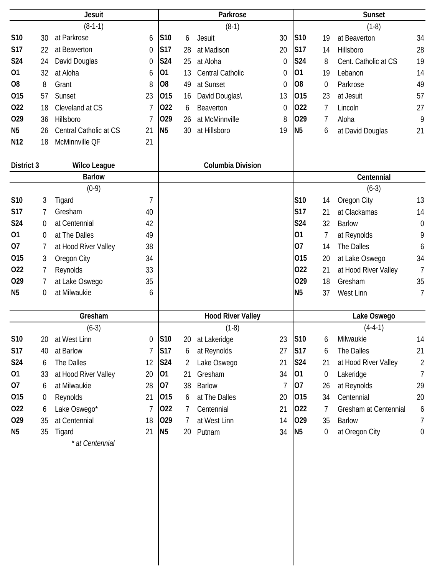| <b>Jesuit</b>   |                  |                        |                | Parkrose        |    |                          |          | <b>Sunset</b>   |    |                       |                  |
|-----------------|------------------|------------------------|----------------|-----------------|----|--------------------------|----------|-----------------|----|-----------------------|------------------|
|                 |                  | $(8-1-1)$              |                |                 |    | $(8-1)$                  |          |                 |    | $(1-8)$               |                  |
| S10             | 30               | at Parkrose            | 6              | S <sub>10</sub> | 6  | Jesuit                   | 30       | S <sub>10</sub> | 19 | at Beaverton          | 34               |
| S17             | 22               | at Beaverton           | $\mathbf 0$    | <b>S17</b>      | 28 | at Madison               | 20       | <b>S17</b>      | 14 | Hillsboro             | 28               |
| S24             | 24               | David Douglas          | $\mathbf 0$    | S24             | 25 | at Aloha                 | 0        | S24             | 8  | Cent. Catholic at CS  | 19               |
| 01              | 32               | at Aloha               | 6              | 01              | 13 | Central Catholic         | 0        | 01              | 19 | Lebanon               | 14               |
| O <sub>8</sub>  | 8                | Grant                  | 8              | O <sub>8</sub>  | 49 | at Sunset                | 0        | O <sub>8</sub>  | 0  | Parkrose              | 49               |
| 015             | 57               | Sunset                 | 23             | 015             | 16 | David Douglas\           | 13       | 015             | 23 | at Jesuit             | 57               |
| 022             | 18               | Cleveland at CS        | 7              | 022             | 6  | Beaverton                | $\theta$ | 022             | 7  | Lincoln               | 27               |
| 029             | 36               | Hillsboro              | 7              | 029             | 26 | at McMinnville           | 8        | 029             | 7  | Aloha                 | 9                |
| N <sub>5</sub>  | 26               | Central Catholic at CS | 21             | <b>N5</b>       | 30 | at Hillsboro             | 19       | N <sub>5</sub>  | 6  | at David Douglas      | 21               |
| N <sub>12</sub> | 18               | McMinnville QF         | 21             |                 |    |                          |          |                 |    |                       |                  |
| District 3      |                  | <b>Wilco League</b>    |                |                 |    | <b>Columbia Division</b> |          |                 |    |                       |                  |
|                 |                  | <b>Barlow</b>          |                |                 |    |                          |          |                 |    | Centennial            |                  |
|                 |                  | $(0-9)$                |                |                 |    |                          |          |                 |    | $(6-3)$               |                  |
| S10             | 3                | Tigard                 | 7              |                 |    |                          |          | S10             | 14 | Oregon City           | 13               |
| <b>S17</b>      | 7                | Gresham                | 40             |                 |    |                          |          | <b>S17</b>      | 21 | at Clackamas          | 14               |
| S24             | $\boldsymbol{0}$ | at Centennial          | 42             |                 |    |                          |          | S24             | 32 | <b>Barlow</b>         | $\mathbf 0$      |
| 01              | 0                | at The Dalles          | 49             |                 |    |                          |          | 01              |    | at Reynolds           | 9                |
| 07              | 7                | at Hood River Valley   | 38             |                 |    |                          |          | 07              | 14 | The Dalles            | 6                |
| 015             | 3                | Oregon City            | 34             |                 |    |                          |          | 015             | 20 | at Lake Oswego        | 34               |
| 022             | 7                | Reynolds               | 33             |                 |    |                          |          | 022             | 21 | at Hood River Valley  | $\overline{7}$   |
| 029             | 7                | at Lake Oswego         | 35             |                 |    |                          |          | 029             | 18 | Gresham               | 35               |
| N <sub>5</sub>  | 0                | at Milwaukie           | 6              |                 |    |                          |          | N <sub>5</sub>  | 37 | West Linn             | 7                |
|                 |                  | Gresham                |                |                 |    | <b>Hood River Valley</b> |          |                 |    | Lake Oswego           |                  |
|                 |                  | $(6-3)$                |                |                 |    | $(1-8)$                  |          |                 |    | $(4-4-1)$             |                  |
| S10             | 20               | at West Linn           | 0              | S10             | 20 | at Lakeridge             | 23       | <b>S10</b>      | 6  | Milwaukie             | 14               |
| S17             | 40               | at Barlow              | $\overline{1}$ | <b>S17</b>      | 6  | at Reynolds              | 27       | <b>S17</b>      | 6  | The Dalles            | 21               |
| S24             | 6                | The Dalles             | 12             | S24             | 2  | Lake Oswego              | 21       | S24             | 21 | at Hood River Valley  | $\overline{2}$   |
| 01              | 33               | at Hood River Valley   | 20             | 01              | 21 | Gresham                  | 34       | 01              | 0  | Lakeridge             | 7                |
| 07              | 6                | at Milwaukie           | 28             | 07              | 38 | <b>Barlow</b>            | 7        | 07              | 26 | at Reynolds           | 29               |
| 015             | 0                | Reynolds               | 21             | 015             | 6  | at The Dalles            | 20       | 015             | 34 | Centennial            | 20               |
| 022             | 6                | Lake Oswego*           | 7              | 022             | 7  | Centennial               | 21       | 022             | 7  | Gresham at Centennial | 6                |
| 029             | 35               | at Centennial          | 18             | 029             | 7  | at West Linn             | 14       | 029             | 35 | <b>Barlow</b>         | 7                |
| N <sub>5</sub>  | 35               | Tigard                 | 21             | <b>N5</b>       | 20 | Putnam                   | 34       | N <sub>5</sub>  | 0  | at Oregon City        | $\boldsymbol{0}$ |
|                 |                  | * at Centennial        |                |                 |    |                          |          |                 |    |                       |                  |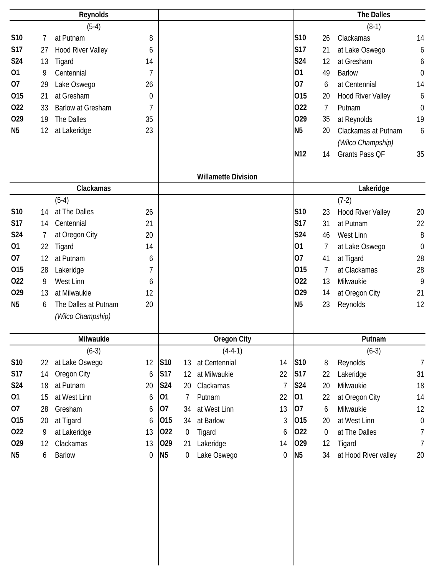|                |    | Reynolds                 |                |                |    |                            |                  |                 |                  | <b>The Dalles</b>        |                  |
|----------------|----|--------------------------|----------------|----------------|----|----------------------------|------------------|-----------------|------------------|--------------------------|------------------|
|                |    | $(5-4)$                  |                |                |    |                            |                  |                 |                  | $(8-1)$                  |                  |
| S10            | 7  | at Putnam                | 8              |                |    |                            |                  | <b>S10</b>      | 26               | Clackamas                | 14               |
| <b>S17</b>     | 27 | <b>Hood River Valley</b> | 6              |                |    |                            |                  | <b>S17</b>      | 21               | at Lake Oswego           | 6                |
| <b>S24</b>     | 13 | Tigard                   | 14             |                |    |                            |                  | S24             | 12               | at Gresham               | 6                |
| 01             | 9  | Centennial               | $\overline{1}$ |                |    |                            |                  | 01              | 49               | <b>Barlow</b>            | $\boldsymbol{0}$ |
| 07             | 29 | Lake Oswego              | 26             |                |    |                            |                  | 07              | 6                | at Centennial            | 14               |
| 015            | 21 | at Gresham               | 0              |                |    |                            |                  | 015             | 20               | <b>Hood River Valley</b> | 6                |
| 022            | 33 | <b>Barlow at Gresham</b> | $\overline{1}$ |                |    |                            |                  | 022             | 7                | Putnam                   | $\mathbf 0$      |
| 029            | 19 | The Dalles               | 35             |                |    |                            |                  | 029             | 35               | at Reynolds              | 19               |
| N <sub>5</sub> | 12 | at Lakeridge             | 23             |                |    |                            |                  | N <sub>5</sub>  | 20               | Clackamas at Putnam      | 6                |
|                |    |                          |                |                |    |                            |                  |                 |                  | (Wilco Champship)        |                  |
|                |    |                          |                |                |    |                            |                  | N <sub>12</sub> | 14               | Grants Pass QF           | 35               |
|                |    |                          |                |                |    |                            |                  |                 |                  |                          |                  |
|                |    |                          |                |                |    | <b>Willamette Division</b> |                  |                 |                  |                          |                  |
|                |    | Clackamas                |                |                |    |                            |                  |                 |                  | Lakeridge                |                  |
|                |    | $(5-4)$                  |                |                |    |                            |                  |                 |                  | $(7-2)$                  |                  |
| S10            | 14 | at The Dalles            | 26             |                |    |                            |                  | S10             | 23               | <b>Hood River Valley</b> | 20               |
| <b>S17</b>     | 14 | Centennial               | 21             |                |    |                            |                  | <b>S17</b>      | 31               | at Putnam                | 22               |
| <b>S24</b>     | 7  | at Oregon City           | 20             |                |    |                            |                  | <b>S24</b>      | 46               | West Linn                | 8                |
| 01             | 22 | Tigard                   | 14             |                |    |                            |                  | 01              | 7                | at Lake Oswego           | $\mathbf 0$      |
| 07             | 12 | at Putnam                | 6              |                |    |                            |                  | 07              | 41               | at Tigard                | 28               |
| 015            | 28 | Lakeridge                | 7              |                |    |                            |                  | 015             | 7                | at Clackamas             | 28               |
| 022            | 9  | West Linn                | 6              |                |    |                            |                  | 022             | 13               | Milwaukie                | 9                |
| 029            | 13 | at Milwaukie             | 12             |                |    |                            |                  | 029             | 14               | at Oregon City           | 21               |
| N <sub>5</sub> | 6  | The Dalles at Putnam     | 20             |                |    |                            |                  | N <sub>5</sub>  | 23               | Reynolds                 | 12               |
|                |    | (Wilco Champship)        |                |                |    |                            |                  |                 |                  |                          |                  |
|                |    |                          |                |                |    |                            |                  |                 |                  |                          |                  |
|                |    | Milwaukie                |                |                |    | <b>Oregon City</b>         |                  |                 |                  | Putnam                   |                  |
|                |    | $(6-3)$                  |                |                |    | $(4-4-1)$                  |                  |                 |                  | $(6-3)$                  |                  |
| <b>S10</b>     | 22 | at Lake Oswego           | 12             | <b>S10</b>     | 13 | at Centennial              | 14               | S10             | 8                | Reynolds                 | $\overline{7}$   |
| <b>S17</b>     | 14 | Oregon City              | 6              | <b>S17</b>     | 12 | at Milwaukie               | 22               | <b>S17</b>      | 22               | Lakeridge                | 31               |
| S24            | 18 | at Putnam                | 20             | <b>S24</b>     | 20 | Clackamas                  | $\overline{1}$   | <b>S24</b>      | 20               | Milwaukie                | 18               |
| 01             | 15 | at West Linn             | 6              | 01             | 7  | Putnam                     | 22               | 01              | 22               | at Oregon City           | 14               |
| 07             | 28 | Gresham                  | 6              | 07             | 34 | at West Linn               | 13               | 07              | 6                | Milwaukie                | 12               |
| 015            | 20 | at Tigard                | 6              | 015            | 34 | at Barlow                  | 3                | 015             | 20               | at West Linn             | $\boldsymbol{0}$ |
| 022            | 9  | at Lakeridge             | 13             | 022            | 0  | Tigard                     | 6                | 022             | $\boldsymbol{0}$ | at The Dalles            | $\overline{7}$   |
| 029            | 12 | Clackamas                | 13             | 029            | 21 | Lakeridge                  | 14               | 029             | 12               | Tigard                   | $\overline{1}$   |
| N <sub>5</sub> | 6  | <b>Barlow</b>            | 0              | N <sub>5</sub> | 0  | Lake Oswego                | $\boldsymbol{0}$ | <b>N5</b>       | 34               | at Hood River valley     | $20\,$           |
|                |    |                          |                |                |    |                            |                  |                 |                  |                          |                  |
|                |    |                          |                |                |    |                            |                  |                 |                  |                          |                  |
|                |    |                          |                |                |    |                            |                  |                 |                  |                          |                  |
|                |    |                          |                |                |    |                            |                  |                 |                  |                          |                  |
|                |    |                          |                |                |    |                            |                  |                 |                  |                          |                  |
|                |    |                          |                |                |    |                            |                  |                 |                  |                          |                  |
|                |    |                          |                |                |    |                            |                  |                 |                  |                          |                  |
|                |    |                          |                |                |    |                            |                  |                 |                  |                          |                  |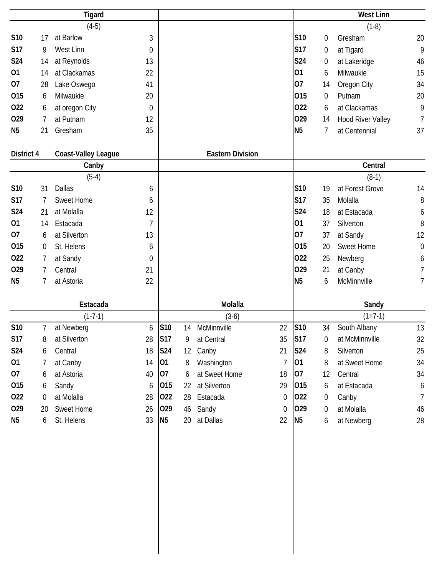|                |                  | <b>Tigard</b>              |                  |            |    |                         |                |                |                  | <b>West Linn</b>         |                  |
|----------------|------------------|----------------------------|------------------|------------|----|-------------------------|----------------|----------------|------------------|--------------------------|------------------|
|                |                  | $(4-5)$                    |                  |            |    |                         |                |                |                  | $(1-8)$                  |                  |
| S10            | 17               | at Barlow                  | $\mathfrak{Z}$   |            |    |                         |                | S10            | $\boldsymbol{0}$ | Gresham                  | 20               |
| <b>S17</b>     | 9                | West Linn                  | $\boldsymbol{0}$ |            |    |                         |                | <b>S17</b>     | $\pmb{0}$        | at Tigard                | 9                |
| S24            | 14               | at Reynolds                | 13               |            |    |                         |                | S24            | 0                | at Lakeridge             | 46               |
| 01             | 14               | at Clackamas               | 22               |            |    |                         |                | 01             | 6                | Milwaukie                | 15               |
| 07             | 28               | Lake Oswego                | 41               |            |    |                         |                | 07             | 14               | Oregon City              | 34               |
| 015            | 6                | Milwaukie                  | 20               |            |    |                         |                | 015            | $\boldsymbol{0}$ | Putnam                   | 20               |
| 022            | 6                | at oregon City             | $\boldsymbol{0}$ |            |    |                         |                | 022            | 6                | at Clackamas             | 9                |
| 029            | $\overline{7}$   | at Putnam                  | 12               |            |    |                         |                | 029            | 14               | <b>Hood River Valley</b> | $\overline{7}$   |
| N <sub>5</sub> | 21               | Gresham                    | 35               |            |    |                         |                | N <sub>5</sub> | 7                | at Centennial            | 37               |
| District 4     |                  | <b>Coast-Valley League</b> |                  |            |    | <b>Eastern Division</b> |                |                |                  |                          |                  |
|                |                  | Canby                      |                  |            |    |                         |                |                |                  | Central                  |                  |
|                |                  | $(5-4)$                    |                  |            |    |                         |                |                |                  | $(8-1)$                  |                  |
| S10            | 31               | Dallas                     | 6                |            |    |                         |                | S10            | 19               | at Forest Grove          | 14               |
| <b>S17</b>     | 7                | <b>Sweet Home</b>          | 6                |            |    |                         |                | S17            | 35               | Molalla                  | 8                |
| <b>S24</b>     | 21               | at Molalla                 | 12               |            |    |                         |                | S24            | 18               | at Estacada              | 6                |
| 01             | 14               | Estacada                   | 7                |            |    |                         |                | 01             | 37               | Silverton                | 8                |
| 07             | 6                | at Silverton               | 13               |            |    |                         |                | 07             | 37               | at Sandy                 | 12               |
| 015            | $\boldsymbol{0}$ | St. Helens                 | 6                |            |    |                         |                | 015            | 20               | <b>Sweet Home</b>        | $\boldsymbol{0}$ |
| 022            | 7                | at Sandy                   | $\boldsymbol{0}$ |            |    |                         |                | 022            | 25               | Newberg                  | 6                |
| 029            | 7                | Central                    | 21               |            |    |                         |                | 029            | 21               | at Canby                 | $\overline{7}$   |
| N <sub>5</sub> | 7                | at Astoria                 | 22               |            |    |                         |                | N <sub>5</sub> | 6                | McMinnville              | 7                |
|                |                  | Estacada                   |                  |            |    | Molalla                 |                |                |                  | Sandy                    |                  |
|                |                  | $(1 - 7 - 1)$              |                  |            |    | $(3-6)$                 |                |                |                  | $(1=7-1)$                |                  |
| S10            | 7                | at Newberg                 | 6                | S10        | 14 | McMinnville             | 22             | S10            | 34               | South Albany             | 13               |
| S17            | 8                | at Silverton               | 28               | <b>S17</b> | 9  | at Central              | 35             | <b>S17</b>     | 0                | at McMinnville           | 32               |
| S24            | 6                | Central                    | 18               | <b>S24</b> | 12 | Canby                   | 21             | <b>S24</b>     | 8                | Silverton                | 25               |
| 01             | 7                | at Canby                   | 14               | 01         | 8  | Washington              | 7              | 01             | 8                | at Sweet Home            | 34               |
| 07             | 6                | at Astoria                 | 40               | 07         | 6  | at Sweet Home           | 18             | 07             | 12               | Central                  | 34               |
| 015            | 6                | Sandy                      | 6                | 015        | 22 | at Silverton            | 29             | 015            | 6                | at Estacada              | $\boldsymbol{6}$ |
| 022            | $\boldsymbol{0}$ | at Molalla                 | 28               | 022        | 28 | Estacada                | $\overline{0}$ | 022            | $\overline{0}$   | Canby                    | $\overline{7}$   |
| 029            | 20               | Sweet Home                 | 26               | 029        | 46 | Sandy                   | $\overline{0}$ | 029            | $\overline{0}$   | at Molalla               | 46               |
| N <sub>5</sub> |                  | St. Helens                 | 33               | <b>N5</b>  | 20 | at Dallas               | 22             | <b>N5</b>      | 6                | at Newberg               | 28               |
|                | 6                |                            |                  |            |    |                         |                |                |                  |                          |                  |
|                |                  |                            |                  |            |    |                         |                |                |                  |                          |                  |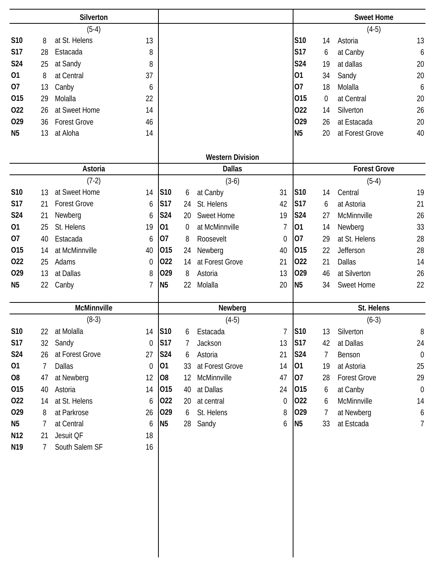|                 | Silverton |                     |    |                |          |                         |                |                |    | <b>Sweet Home</b>   |                  |
|-----------------|-----------|---------------------|----|----------------|----------|-------------------------|----------------|----------------|----|---------------------|------------------|
|                 |           | $(5-4)$             |    |                |          |                         |                |                |    | $(4-5)$             |                  |
| S10             | 8         | at St. Helens       | 13 |                |          |                         |                | S10            | 14 | Astoria             | 13               |
| <b>S17</b>      | 28        | Estacada            | 8  |                |          |                         |                | <b>S17</b>     | 6  | at Canby            | 6                |
| S24             | 25        | at Sandy            | 8  |                |          |                         |                | <b>S24</b>     | 19 | at dallas           | 20               |
| 01              | 8         | at Central          | 37 |                |          |                         |                | 01             | 34 | Sandy               | 20               |
| 07              | 13        | Canby               | 6  |                |          |                         |                | 07             | 18 | Molalla             | 6                |
| 015             | 29        | Molalla             | 22 |                |          |                         |                | 015            | 0  | at Central          | 20               |
| 022             | 26        | at Sweet Home       | 14 |                |          |                         |                | 022            | 14 | Silverton           | 26               |
| 029             | 36        | <b>Forest Grove</b> | 46 |                |          |                         |                | 029            | 26 | at Estacada         | 20               |
| N <sub>5</sub>  | 13        | at Aloha            | 14 |                |          |                         |                | N <sub>5</sub> | 20 | at Forest Grove     | 40               |
|                 |           |                     |    |                |          | <b>Western Division</b> |                |                |    |                     |                  |
|                 |           | Astoria             |    |                |          | <b>Dallas</b>           |                |                |    | <b>Forest Grove</b> |                  |
|                 |           | $(7-2)$             |    |                |          | $(3-6)$                 |                |                |    | $(5-4)$             |                  |
| S10             | 13        | at Sweet Home       | 14 | S10            | 6        | at Canby                | 31             | S10            | 14 | Central             | 19               |
| <b>S17</b>      | 21        | <b>Forest Grove</b> | 6  | S17            | 24       | St. Helens              | 42             | <b>S17</b>     | 6  | at Astoria          | 21               |
| S24             | 21        | Newberg             | 6  | S24            | 20       | <b>Sweet Home</b>       | 19             | <b>S24</b>     | 27 | McMinnville         | 26               |
| 01              | 25        | St. Helens          | 19 | 01             | $\theta$ | at McMinnville          | 7              | 01             | 14 | Newberg             | 33               |
| 07              | 40        | Estacada            | 6  | 07             | 8        | Roosevelt               | $\mathbf 0$    | 07             | 29 | at St. Helens       | 28               |
| 015             | 14        | at McMinnville      | 40 | 015            | 24       | Newberg                 | 40             | 015            | 22 | Jefferson           | 28               |
| 022             | 25        | Adams               | 0  | 022            | 14       | at Forest Grove         | 21             | 022            | 21 | <b>Dallas</b>       | 14               |
| 029             | 13        | at Dallas           | 8  | 029            | 8        | Astoria                 | 13             | 029            | 46 | at Silverton        | 26               |
| N <sub>5</sub>  | 22        | Canby               | 7  | <b>N5</b>      | 22       | Molalla                 | 20             | N <sub>5</sub> | 34 | <b>Sweet Home</b>   | 22               |
|                 |           | <b>McMinnville</b>  |    |                |          | Newberg                 |                |                |    | St. Helens          |                  |
|                 |           | $(8-3)$             |    |                |          | $(4-5)$                 |                |                |    | $(6-3)$             |                  |
| S10             | 22        | at Molalla          |    | 14 S10         | 6        | Estacada                | 7              | <b>S10</b>     | 13 | Silverton           | 8                |
| <b>S17</b>      | 32        | Sandy               | 0  | <b>S17</b>     | 7        | Jackson                 | 13             | <b>S17</b>     | 42 | at Dallas           | 24               |
| S24             | 26        | at Forest Grove     | 27 | S24            | 6        | Astoria                 | 21             | S24            | 7  | Benson              | $\boldsymbol{0}$ |
| 01              | 7         | Dallas              | 0  | 01             | 33       | at Forest Grove         | 14             | 01             | 19 | at Astoria          | 25               |
| O <sub>8</sub>  | 47        | at Newberg          | 12 | O <sub>8</sub> | 12       | McMinnville             | 47             | 07             | 28 | <b>Forest Grove</b> | 29               |
| 015             | 40        | Astoria             | 14 | 015            | 40       | at Dallas               | 24             | 015            | 6  | at Canby            | $\boldsymbol{0}$ |
| 022             | 14        | at St. Helens       | 6  | 022            | 20       | at central              | $\overline{0}$ | 022            | 6  | McMinnville         | 14               |
| 029             | 8         | at Parkrose         | 26 | 029            | 6        | St. Helens              | 8              | 029            | 7  | at Newberg          | 6                |
| N <sub>5</sub>  | 7         | at Central          | 6  | <b>N5</b>      | 28       | Sandy                   | 6              | N <sub>5</sub> | 33 | at Estcada          | 7                |
| N <sub>12</sub> | 21        | Jesuit QF           | 18 |                |          |                         |                |                |    |                     |                  |
| N <sub>19</sub> | 7         | South Salem SF      | 16 |                |          |                         |                |                |    |                     |                  |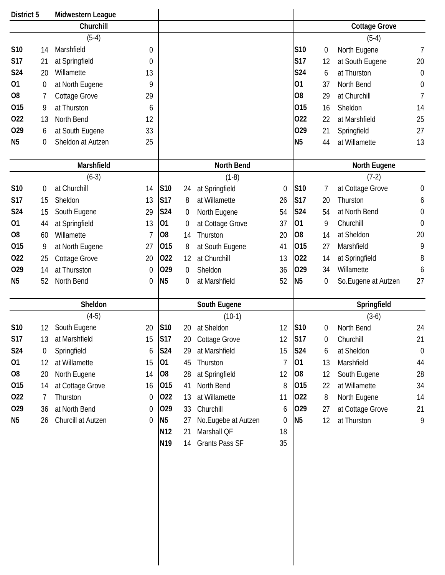| District 5      |    | Midwestern League  |    |                 |                  |                       |                  |                |                  |                      |                |
|-----------------|----|--------------------|----|-----------------|------------------|-----------------------|------------------|----------------|------------------|----------------------|----------------|
|                 |    | Churchill          |    |                 |                  |                       |                  |                |                  | <b>Cottage Grove</b> |                |
|                 |    | $(5-4)$            |    |                 |                  |                       |                  |                |                  | $(5-4)$              |                |
| <b>S10</b>      | 14 | Marshfield         | 0  |                 |                  |                       |                  | S10            | $\boldsymbol{0}$ | North Eugene         | 7              |
| <b>S17</b>      | 21 | at Springfield     | 0  |                 |                  |                       |                  | <b>S17</b>     | 12               | at South Eugene      | 20             |
| <b>S24</b>      | 20 | Willamette         | 13 |                 |                  |                       |                  | S24            | 6                | at Thurston          | $\mathbf 0$    |
| 01              | 0  | at North Eugene    | 9  |                 |                  |                       |                  | 01             | 37               | North Bend           | $\mathbf 0$    |
| O <sub>8</sub>  | 7  | Cottage Grove      | 29 |                 |                  |                       |                  | O <sub>8</sub> | 29               | at Churchill         | $\overline{1}$ |
| 015             | 9  | at Thurston        | 6  |                 |                  |                       |                  | 015            | 16               | Sheldon              | 14             |
| 022             | 13 | North Bend         | 12 |                 |                  |                       |                  | 022            | 22               | at Marshfield        | 25             |
| 029             | 6  | at South Eugene    | 33 |                 |                  |                       |                  | 029            | 21               | Springfield          | 27             |
| N <sub>5</sub>  | 0  | Sheldon at Autzen  | 25 |                 |                  |                       |                  | N <sub>5</sub> | 44               | at Willamette        | 13             |
|                 |    |                    |    |                 |                  |                       |                  |                |                  |                      |                |
|                 |    | Marshfield         |    |                 |                  | North Bend            |                  |                |                  | North Eugene         |                |
|                 |    | $(6-3)$            |    |                 |                  | $(1-8)$               |                  |                |                  | $(7-2)$              |                |
| S <sub>10</sub> | 0  | at Churchill       | 14 | S10             | 24               | at Springfield        | $\mathbf 0$      | S10            | 7                | at Cottage Grove     | $\mathbf 0$    |
| <b>S17</b>      | 15 | Sheldon            | 13 | <b>S17</b>      | 8                | at Willamette         | 26               | <b>S17</b>     | 20               | Thurston             | 6              |
| <b>S24</b>      | 15 | South Eugene       | 29 | S24             | $\boldsymbol{0}$ | North Eugene          | 54               | <b>S24</b>     | 54               | at North Bend        | 0              |
| 01              | 44 | at Springfield     | 13 | 01              | 0                | at Cottage Grove      | 37               | 01             | 9                | Churchill            | $\theta$       |
| O <sub>8</sub>  | 60 | Willamette         | 7  | O <sub>8</sub>  | 14               | Thurston              | 20               | O <sub>8</sub> | 14               | at Sheldon           | 20             |
| 015             | 9  | at North Eugene    | 27 | 015             | 8                | at South Eugene       | 41               | 015            | 27               | Marshfield           | 9              |
| 022             | 25 | Cottage Grove      | 20 | 022             | 12               | at Churchill          | 13               | 022            | 14               | at Springfield       | 8              |
| 029             | 14 | at Thursston       | 0  | 029             | 0                | Sheldon               | 36               | 029            | 34               | Willamette           | 6              |
| N <sub>5</sub>  | 52 | North Bend         | 0  | N <sub>5</sub>  | 0                | at Marshfield         | 52               | N <sub>5</sub> | 0                | So. Eugene at Autzen | 27             |
|                 |    |                    |    |                 |                  |                       |                  |                |                  |                      |                |
|                 |    | Sheldon            |    |                 |                  | South Eugene          |                  |                |                  | Springfield          |                |
|                 |    | $(4-5)$            |    |                 |                  | $(10-1)$              |                  |                |                  | $(3-6)$              |                |
| S <sub>10</sub> |    | South Eugene       | 20 | S10             | 20               | at Sheldon            | 12               | S10            | $\boldsymbol{0}$ | North Bend           | 24             |
| <b>S17</b>      | 13 | at Marshfield      | 15 | <b>S17</b>      | 20               | Cottage Grove         | 12               | <b>S17</b>     | $\boldsymbol{0}$ | Churchill            | 21             |
| S24             | 0  | Springfield        | 6  | S24             | 29               | at Marshfield         | 15               | S24            | 6                | at Sheldon           | $\theta$       |
| 01              | 12 | at Willamette      | 15 | 01              | 45               | Thurston              | 7                | 01             | 13               | Marshfield           | 44             |
| O <sub>8</sub>  | 20 | North Eugene       | 14 | 08              | 28               | at Springfield        | 12               | 08             | 12               | South Eugene         | 28             |
| 015             | 14 | at Cottage Grove   | 16 | 015             | 41               | North Bend            | 8                | 015            | 22               | at Willamette        | 34             |
| 022             | 7  | Thurston           | 0  | 022             | 13               | at Willamette         | 11               | 022            | 8                | North Eugene         | 14             |
| 029             | 36 | at North Bend      | 0  | 029             | 33               | Churchill             | 6                | 029            | 27               | at Cottage Grove     | 21             |
| N <sub>5</sub>  | 26 | Churcill at Autzen | 0  | N <sub>5</sub>  | 27               | No. Eugebe at Autzen  | $\boldsymbol{0}$ | N <sub>5</sub> | 12               | at Thurston          | 9              |
|                 |    |                    |    | N <sub>12</sub> | 21               | Marshall QF           | 18               |                |                  |                      |                |
|                 |    |                    |    | N <sub>19</sub> | 14               | <b>Grants Pass SF</b> | 35               |                |                  |                      |                |
|                 |    |                    |    |                 |                  |                       |                  |                |                  |                      |                |
|                 |    |                    |    |                 |                  |                       |                  |                |                  |                      |                |
|                 |    |                    |    |                 |                  |                       |                  |                |                  |                      |                |
|                 |    |                    |    |                 |                  |                       |                  |                |                  |                      |                |
|                 |    |                    |    |                 |                  |                       |                  |                |                  |                      |                |
|                 |    |                    |    |                 |                  |                       |                  |                |                  |                      |                |
|                 |    |                    |    |                 |                  |                       |                  |                |                  |                      |                |
|                 |    |                    |    |                 |                  |                       |                  |                |                  |                      |                |
|                 |    |                    |    |                 |                  |                       |                  |                |                  |                      |                |
|                 |    |                    |    |                 |                  |                       |                  |                |                  |                      |                |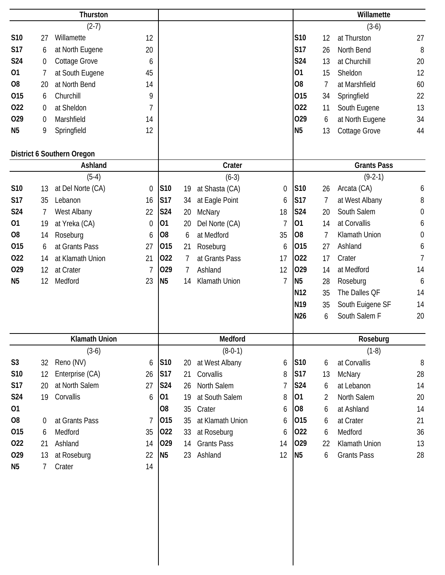|                |                  | Thurston                   |                |                |    |                    |                  |                 |                | Willamette         |                  |
|----------------|------------------|----------------------------|----------------|----------------|----|--------------------|------------------|-----------------|----------------|--------------------|------------------|
|                |                  | $(2-7)$                    |                |                |    |                    |                  |                 |                | $(3-6)$            |                  |
| S10            | 27               | Willamette                 | 12             |                |    |                    |                  | S10             | 12             | at Thurston        | 27               |
| <b>S17</b>     | 6                | at North Eugene            | 20             |                |    |                    |                  | <b>S17</b>      | 26             | North Bend         | 8                |
| S24            | $\boldsymbol{0}$ | Cottage Grove              | 6              |                |    |                    |                  | S24             | 13             | at Churchill       | 20               |
| 01             | 7                | at South Eugene            | 45             |                |    |                    |                  | 01              | 15             | Sheldon            | 12               |
| O <sub>8</sub> | 20               | at North Bend              | 14             |                |    |                    |                  | O <sub>8</sub>  | 7              | at Marshfield      | 60               |
| 015            | 6                | Churchill                  | 9              |                |    |                    |                  | 015             | 34             | Springfield        | 22               |
| 022            | 0                | at Sheldon                 | $\overline{1}$ |                |    |                    |                  | 022             | 11             | South Eugene       | 13               |
| 029            | 0                | Marshfield                 | 14             |                |    |                    |                  | 029             | 6              | at North Eugene    | 34               |
| N <sub>5</sub> | 9                | Springfield                | 12             |                |    |                    |                  | N <sub>5</sub>  | 13             | Cottage Grove      | 44               |
|                |                  | District 6 Southern Oregon |                |                |    |                    |                  |                 |                |                    |                  |
|                |                  | Ashland                    |                |                |    | Crater             |                  |                 |                | <b>Grants Pass</b> |                  |
|                |                  | $(5-4)$                    |                |                |    | $(6-3)$            |                  |                 |                | $(9-2-1)$          |                  |
| S10            | 13               | at Del Norte (CA)          | $\mathbf 0$    | S10            | 19 | at Shasta (CA)     | $\boldsymbol{0}$ | S10             | 26             | Arcata (CA)        | 6                |
| <b>S17</b>     | 35               | Lebanon                    | 16             | S17            | 34 | at Eagle Point     | 6                | S17             | 7              | at West Albany     | 8                |
| S24            | 7                | West Albany                | 22             | <b>S24</b>     | 20 | McNary             | 18               | <b>S24</b>      | 20             | South Salem        | $\boldsymbol{0}$ |
| 01             | 19               | at Yreka (CA)              | $\mathbf 0$    | 01             | 20 | Del Norte (CA)     | 7                | 01              | 14             | at Corvallis       | 6                |
| O <sub>8</sub> | 14               | Roseburg                   | 6              | O <sub>8</sub> | 6  | at Medford         | 35               | O <sub>8</sub>  | $\overline{1}$ | Klamath Union      | $\mathbf 0$      |
| 015            | 6                | at Grants Pass             | 27             | 015            | 21 | Roseburg           | 6                | 015             | 27             | Ashland            | 6                |
| 022            | 14               | at Klamath Union           | 21             | 022            | 7  | at Grants Pass     | 17               | 022             | 17             | Crater             | $\overline{1}$   |
| 029            | 12               | at Crater                  | $\overline{7}$ | 029            | 7  | Ashland            | 12               | 029             | 14             | at Medford         | 14               |
| N <sub>5</sub> | 12               | Medford                    | 23             | N <sub>5</sub> | 14 | Klamath Union      | $\overline{1}$   | N <sub>5</sub>  | 28             | Roseburg           | 6                |
|                |                  |                            |                |                |    |                    |                  | N <sub>12</sub> | 35             | The Dalles OF      | 14               |
|                |                  |                            |                |                |    |                    |                  | N <sub>19</sub> | 35             | South Euigene SF   | 14               |
|                |                  |                            |                |                |    |                    |                  | <b>N26</b>      | 6              | South Salem F      | 20               |
|                |                  | <b>Klamath Union</b>       |                |                |    | Medford            |                  |                 |                | Roseburg           |                  |
|                |                  | $(3-6)$                    |                |                |    | $(8-0-1)$          |                  |                 |                | $(1-8)$            |                  |
| S <sub>3</sub> | 32               | Reno (NV)                  |                | <b>S10</b>     | 20 | at West Albany     |                  | <b>S10</b>      |                | at Corvallis       |                  |
| S10            | 12               | Enterprise (CA)            | 6<br>26        | <b>S17</b>     | 21 | Corvallis          | 6<br>8           | <b>S17</b>      | 6<br>13        | McNary             | 8<br>28          |
| <b>S17</b>     | 20               | at North Salem             | 27             | <b>S24</b>     | 26 | North Salem        | 7                | <b>S24</b>      | 6              | at Lebanon         | 14               |
| S24            | 19               | Corvallis                  | 6              | 01             | 19 | at South Salem     | 8                | 01              | $\overline{2}$ | North Salem        | 20               |
| 01             |                  |                            |                | O <sub>8</sub> | 35 | Crater             | 6                | 08              | 6              | at Ashland         | 14               |
| O <sub>8</sub> | 0                | at Grants Pass             | $\overline{7}$ | 015            | 35 | at Klamath Union   | 6                | 015             | 6              | at Crater          | 21               |
| 015            | 6                | Medford                    | 35             | 022            | 33 | at Roseburg        | 6                | 022             | 6              | Medford            | 36               |
| 022            | 21               | Ashland                    | 14             | 029            | 14 | <b>Grants Pass</b> | 14               | 029             | 22             | Klamath Union      | 13               |
| 029            | 13               | at Roseburg                | 22             | <b>N5</b>      | 23 | Ashland            | 12               | N <sub>5</sub>  | 6              | <b>Grants Pass</b> | 28               |
| N <sub>5</sub> | 7                | Crater                     | 14             |                |    |                    |                  |                 |                |                    |                  |
|                |                  |                            |                |                |    |                    |                  |                 |                |                    |                  |
|                |                  |                            |                |                |    |                    |                  |                 |                |                    |                  |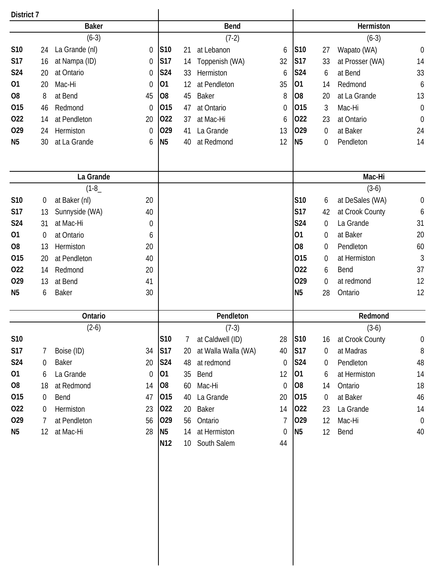| District 7     |                  |                |                  |                 |                 |                     |                  |                 |                |                 |                  |
|----------------|------------------|----------------|------------------|-----------------|-----------------|---------------------|------------------|-----------------|----------------|-----------------|------------------|
|                |                  | <b>Baker</b>   |                  |                 |                 | <b>Bend</b>         |                  |                 |                | Hermiston       |                  |
|                |                  | $(6-3)$        |                  |                 |                 | $(7-2)$             |                  |                 |                | $(6-3)$         |                  |
| S10            | 24               | La Grande (nl) | 0                | S <sub>10</sub> | 21              | at Lebanon          | 6                | S <sub>10</sub> | 27             | Wapato (WA)     | $\mathbf 0$      |
| <b>S17</b>     | 16               | at Nampa (ID)  | 0                | S17             | 14              | Toppenish (WA)      | 32               | S17             | 33             | at Prosser (WA) | 14               |
| <b>S24</b>     | 20               | at Ontario     | 0                | <b>S24</b>      | 33              | Hermiston           | 6                | <b>S24</b>      | 6              | at Bend         | 33               |
| 01             | 20               | Mac-Hi         | $\boldsymbol{0}$ | 01              | 12              | at Pendleton        | 35               | 01              | 14             | Redmond         | 6                |
| O <sub>8</sub> | 8                | at Bend        | 45               | O <sub>8</sub>  | 45              | Baker               | 8                | O <sub>8</sub>  | 20             | at La Grande    | 13               |
| 015            | 46               | Redmond        | $\overline{0}$   | 015             | 47              | at Ontario          | $\theta$         | 015             | 3              | Mac-Hi          | $\boldsymbol{0}$ |
| 022            | 14               | at Pendleton   | 20               | 022             | 37              | at Mac-Hi           | 6                | 022             | 23             | at Ontario      | $\mathbf 0$      |
| 029            | 24               | Hermiston      | $\boldsymbol{0}$ | 029             | 41              | La Grande           | 13               | 029             | 0              | at Baker        | 24               |
| N <sub>5</sub> | 30               | at La Grande   | 6                | N <sub>5</sub>  | 40              | at Redmond          | 12               | <b>N5</b>       | 0              | Pendleton       | 14               |
|                |                  |                |                  |                 |                 |                     |                  |                 |                |                 |                  |
|                |                  | La Grande      |                  |                 |                 |                     |                  |                 |                | Mac-Hi          |                  |
|                |                  | $(1-8)$        |                  |                 |                 |                     |                  |                 |                | $(3-6)$         |                  |
| S10            | 0                | at Baker (nl)  | 20               |                 |                 |                     |                  | S10             | 6              | at DeSales (WA) | $\boldsymbol{0}$ |
| <b>S17</b>     | 13               | Sunnyside (WA) | 40               |                 |                 |                     |                  | <b>S17</b>      | 42             | at Crook County | 6                |
| S24            | 31               | at Mac-Hi      | 0                |                 |                 |                     |                  | S24             | 0              | La Grande       | 31               |
| 01             | $\boldsymbol{0}$ | at Ontario     | 6                |                 |                 |                     |                  | 01              | 0              | at Baker        | 20               |
| O <sub>8</sub> | 13               | Hermiston      | 20               |                 |                 |                     |                  | O <sub>8</sub>  | 0              | Pendleton       | 60               |
| 015            | 20               | at Pendleton   | 40               |                 |                 |                     |                  | 015             | 0              | at Hermiston    | $\mathfrak{Z}$   |
| 022            | 14               | Redmond        | 20               |                 |                 |                     |                  | 022             | 6              | Bend            | 37               |
| 029            | 13               | at Bend        | 41               |                 |                 |                     |                  | 029             | 0              | at redmond      | 12               |
| N <sub>5</sub> | 6                | <b>Baker</b>   | 30               |                 |                 |                     |                  | N <sub>5</sub>  | 28             | Ontario         | 12               |
|                |                  | Ontario        |                  |                 |                 | Pendleton           |                  |                 |                | Redmond         |                  |
|                |                  | $(2-6)$        |                  |                 |                 | $(7-3)$             |                  |                 |                | $(3-6)$         |                  |
| S10            |                  |                |                  | S10             | 7               | at Caldwell (ID)    | 28               | S10             | 16             | at Crook County | $\boldsymbol{0}$ |
| <b>S17</b>     | 7                | Boise (ID)     | 34               | <b>S17</b>      | 20              | at Walla Walla (WA) | 40               | <b>S17</b>      | $\overline{0}$ | at Madras       | $\, 8$           |
| <b>S24</b>     | 0                | Baker          | 20               | <b>S24</b>      | 48              | at redmond          | $\theta$         | S24             | 0              | Pendleton       | 48               |
| 01             | 6                | La Grande      | $\boldsymbol{0}$ | 01              | 35              | Bend                | 12               | 01              | 6              | at Hermiston    | 14               |
| O <sub>8</sub> | 18               | at Redmond     | 14               | 08              | 60              | Mac-Hi              | $\theta$         | 08              | 14             | Ontario         | 18               |
| 015            | $\overline{0}$   | Bend           | 47               | 015             | 40              | La Grande           | 20               | 015             | 0              | at Baker        | 46               |
| 022            | $\mathbf 0$      | Hermiston      | 23               | 022             | 20              | <b>Baker</b>        | 14               | 022             | 23             | La Grande       | 14               |
| 029            | 7                | at Pendleton   | 56               | 029             | 56              | Ontario             | 7                | 029             | 12             | Mac-Hi          | $\overline{0}$   |
| N <sub>5</sub> | 12               | at Mac-Hi      | 28               | N <sub>5</sub>  | 14              | at Hermiston        | $\boldsymbol{0}$ | <b>N5</b>       | 12             | Bend            | 40               |
|                |                  |                |                  | N12             | 10 <sup>°</sup> | South Salem         | 44               |                 |                |                 |                  |
|                |                  |                |                  |                 |                 |                     |                  |                 |                |                 |                  |
|                |                  |                |                  |                 |                 |                     |                  |                 |                |                 |                  |
|                |                  |                |                  |                 |                 |                     |                  |                 |                |                 |                  |
|                |                  |                |                  |                 |                 |                     |                  |                 |                |                 |                  |
|                |                  |                |                  |                 |                 |                     |                  |                 |                |                 |                  |
|                |                  |                |                  |                 |                 |                     |                  |                 |                |                 |                  |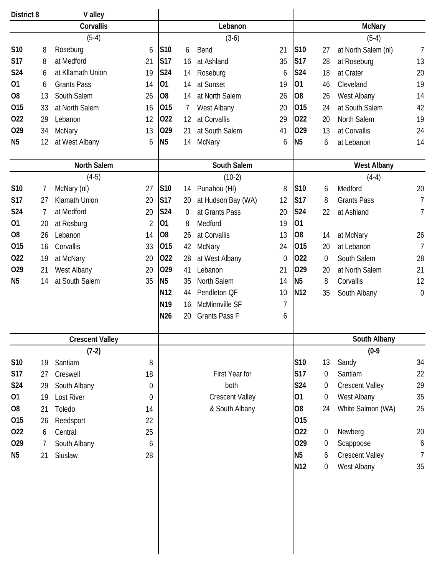| District 8     |    | V alley                |                |                 |                |                        |          |                 |                  |                        |                |
|----------------|----|------------------------|----------------|-----------------|----------------|------------------------|----------|-----------------|------------------|------------------------|----------------|
|                |    | Corvallis              |                |                 |                | Lebanon                |          |                 |                  | <b>McNary</b>          |                |
|                |    | $(5-4)$                |                |                 |                | $(3-6)$                |          |                 |                  | $(5-4)$                |                |
| S10            | 8  | Roseburg               | 6              | S10             | 6              | Bend                   | 21       | S10             | 27               | at North Salem (nl)    | $\overline{7}$ |
| <b>S17</b>     | 8  | at Medford             | 21             | S17             | 16             | at Ashland             | 35       | <b>S17</b>      | 28               | at Roseburg            | 13             |
| S24            | 6  | at Kllamath Union      | 19             | S24             | 14             | Roseburg               | 6        | <b>S24</b>      | 18               | at Crater              | 20             |
| 01             | 6  | <b>Grants Pass</b>     | 14             | 01              | 14             | at Sunset              | 19       | 01              | 46               | Cleveland              | 19             |
| O <sub>8</sub> | 13 | South Salem            | 26             | O <sub>8</sub>  | 14             | at North Salem         | 26       | O <sub>8</sub>  | 26               | West Albany            | 14             |
| 015            | 33 | at North Salem         | 16             | 015             | 7              | West Albany            | 20       | 015             | 24               | at South Salem         | 42             |
| 022            | 29 | Lebanon                | 12             | 022             | 12             | at Corvallis           | 29       | 022             | 20               | North Salem            | 19             |
| 029            | 34 | <b>McNary</b>          | 13             | 029             | 21             | at South Salem         | 41       | 029             | 13               | at Corvallis           | 24             |
| N <sub>5</sub> | 12 | at West Albany         | 6              | <b>N5</b>       | 14             | <b>McNary</b>          | 6        | N <sub>5</sub>  | 6                | at Lebanon             | 14             |
|                |    | <b>North Salem</b>     |                |                 |                | South Salem            |          |                 |                  | <b>West Albany</b>     |                |
|                |    | $(4-5)$                |                |                 |                | $(10-2)$               |          |                 |                  | $(4-4)$                |                |
| <b>S10</b>     | 7  | McNary (nl)            | 27             | S10             | 14             | Punahou (HI)           | 8        | S10             | 6                | Medford                | 20             |
| <b>S17</b>     | 27 | <b>Klamath Union</b>   | 20             | <b>S17</b>      | 20             | at Hudson Bay (WA)     | 12       | <b>S17</b>      | 8                | <b>Grants Pass</b>     | 7              |
| S24            | 7  | at Medford             | 20             | S24             | $\overline{0}$ | at Grants Pass         | 20       | <b>S24</b>      | 22               | at Ashland             | 7              |
| 01             | 20 | at Rosburg             | $\overline{2}$ | 01              | 8              | Medford                | 19       | 01              |                  |                        |                |
| O <sub>8</sub> | 26 | Lebanon                | 14             | O <sub>8</sub>  | 26             | at Corvallis           | 13       | O <sub>8</sub>  | 14               | at McNary              | 26             |
| 015            | 16 | Corvallis              | 33             | 015             | 42             | <b>McNary</b>          | 24       | 015             | 20               | at Lebanon             | $\overline{1}$ |
| 022            | 19 | at McNary              | 20             | 022             | 28             | at West Albany         | $\theta$ | 022             | $\Omega$         | South Salem            | 28             |
| 029            | 21 | West Albany            | 20             | 029             | 41             | Lebanon                | 21       | 029             | 20               | at North Salem         | 21             |
| N <sub>5</sub> | 14 | at South Salem         | 35             | <b>N5</b>       | 35             | North Salem            | 14       | N <sub>5</sub>  | 8                | Corvallis              | 12             |
|                |    |                        |                | N <sub>12</sub> | 44             | Pendleton QF           | 10       | N <sub>12</sub> | 35               | South Albany           | $\mathbf 0$    |
|                |    |                        |                | N <sub>19</sub> | 16             | McMinnville SF         | 7        |                 |                  |                        |                |
|                |    |                        |                | N26             | 20             | <b>Grants Pass F</b>   | 6        |                 |                  |                        |                |
|                |    | <b>Crescent Valley</b> |                |                 |                |                        |          |                 |                  | South Albany           |                |
|                |    | $(7-2)$                |                |                 |                |                        |          |                 |                  | $(0-9)$                |                |
| <b>S10</b>     | 19 | Santiam                | 8              |                 |                |                        |          | S10             | 13               | Sandy                  | 34             |
| <b>S17</b>     | 27 | Creswell               | 18             |                 |                | First Year for         |          | S17             | $\boldsymbol{0}$ | Santiam                | 22             |
| S24            | 29 | South Albany           | $\theta$       |                 |                | both                   |          | S24             | $\boldsymbol{0}$ | <b>Crescent Valley</b> | 29             |
| 01             | 19 | Lost River             | 0              |                 |                | <b>Crescent Valley</b> |          | 01              | 0                | West Albany            | 35             |
| O <sub>8</sub> | 21 | Toledo                 | 14             |                 |                | & South Albany         |          | O <sub>8</sub>  | 24               | White Salmon (WA)      | 25             |
| 015            | 26 | Reedsport              | 22             |                 |                |                        |          | 015             |                  |                        |                |
| 022            | 6  | Central                | 25             |                 |                |                        |          | 022             | 0                | Newberg                | 20             |
| 029            | 7  | South Albany           | 6              |                 |                |                        |          | 029             | $\overline{0}$   | Scappoose              | 6              |
| N <sub>5</sub> | 21 | Siuslaw                | 28             |                 |                |                        |          | <b>N5</b>       | 6                | <b>Crescent Valley</b> | $\overline{7}$ |
|                |    |                        |                |                 |                |                        |          | N <sub>12</sub> | 0                | West Albany            | 35             |
|                |    |                        |                |                 |                |                        |          |                 |                  |                        |                |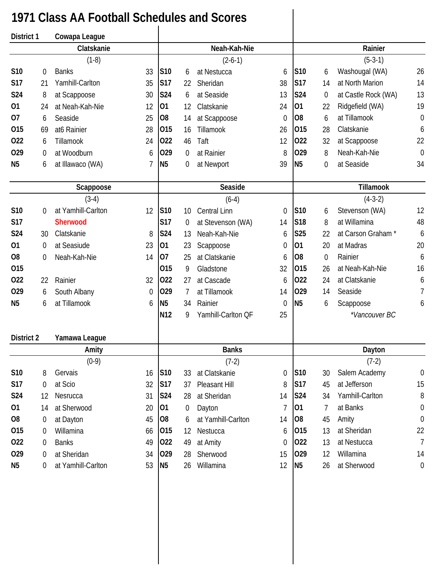## **1971 Class AA Football Schedules and Scores**

| District 1        |                  | Cowapa League      |                |                 |                   |                     |                |                |                  |                     |                  |
|-------------------|------------------|--------------------|----------------|-----------------|-------------------|---------------------|----------------|----------------|------------------|---------------------|------------------|
|                   |                  | Clatskanie         |                |                 |                   | Neah-Kah-Nie        |                |                |                  | Rainier             |                  |
|                   |                  | $(1-8)$            |                |                 |                   | $(2-6-1)$           |                |                |                  | $(5-3-1)$           |                  |
| S10               | 0                | <b>Banks</b>       | 33             | S10             | 6                 | at Nestucca         | 6              | S10            | 6                | Washougal (WA)      | 26               |
| <b>S17</b>        | 21               | Yamhill-Carlton    | 35             | <b>S17</b>      | 22                | Sheridan            | 38             | <b>S17</b>     | 14               | at North Marion     | 14               |
| <b>S24</b>        | 8                | at Scappoose       | 30             | <b>S24</b>      | 6                 | at Seaside          | 13             | <b>S24</b>     | 0                | at Castle Rock (WA) | 13               |
| 01                | 24               | at Neah-Kah-Nie    | 12             | 01              | 12                | Clatskanie          | 24             | 01             | 22               | Ridgefield (WA)     | 19               |
| 07                | 6                | Seaside            | 25             | O <sub>8</sub>  | 14                | at Scappoose        | $\mathbf 0$    | O <sub>8</sub> | 6                | at Tillamook        | $\mathbf 0$      |
| 015               | 69               | at6 Rainier        | 28             | 015             | 16                | Tillamook           | 26             | 015            | 28               | Clatskanie          | 6                |
| 022               | 6                | Tillamook          | 24             | 022             | 46                | Taft                | 12             | 022            | 32               | at Scappoose        | 22               |
| 029               | 0                | at Woodburn        | 6              | 029             | $\overline{0}$    | at Rainier          | 8              | 029            | 8                | Neah-Kah-Nie        | $\mathbf 0$      |
| N <sub>5</sub>    | 6                | at Illawaco (WA)   | $\overline{1}$ | N <sub>5</sub>  | 0                 | at Newport          | 39             | N <sub>5</sub> | $\overline{0}$   | at Seaside          | 34               |
|                   |                  | Scappoose          |                |                 |                   | Seaside             |                |                |                  | Tillamook           |                  |
|                   |                  | $(3-4)$            |                |                 |                   | $(6-4)$             |                |                |                  | $(4-3-2)$           |                  |
| <b>S10</b>        | 0                | at Yamhill-Carlton | 12             | S <sub>10</sub> | 10 <sup>°</sup>   | <b>Central Linn</b> | $\mathbf 0$    | S10            | 6                | Stevenson (WA)      | 12               |
| <b>S17</b>        |                  | <b>Sherwood</b>    |                | <b>S17</b>      | 0                 | at Stevenson (WA)   | 14             | <b>S18</b>     | 8                | at Willamina        | 48               |
| <b>S24</b>        | 30               | Clatskanie         | 8              | S24             | 13                | Neah-Kah-Nie        | 6              | <b>S25</b>     | 22               | at Carson Graham*   | 6                |
| 01                | 0                | at Seasiude        | 23             | 01              | 23                | Scappoose           | $\mathbf 0$    | 01             | 20               | at Madras           | 20               |
| O <sub>8</sub>    | 0                | Neah-Kah-Nie       | 14             | 07              | 25                | at Clatskanie       | 6              | O <sub>8</sub> | $\boldsymbol{0}$ | Rainier             | 6                |
| 015               |                  |                    |                | 015             | 9                 | Gladstone           | 32             | 015            | 26               | at Neah-Kah-Nie     | 16               |
| 022               | 22               | Rainier            | 32             | 022             | 27                | at Cascade          | 6              | 022            | 24               | at Clatskanie       | 6                |
| 029               | 6                | South Albany       | 0              | 029             | 7                 | at Tillamook        | 14             | 029            | 14               | Seaside             | 7                |
| N <sub>5</sub>    | 6                | at Tillamook       | 6              | N <sub>5</sub>  | 34                | Rainier             | $\mathbf 0$    | N <sub>5</sub> | 6                | Scappoose           | 6                |
|                   |                  |                    |                | N <sub>12</sub> | 9                 | Yamhill-Carlton QF  | 25             |                |                  | *Vancouver BC       |                  |
| <b>District 2</b> |                  | Yamawa League      |                |                 |                   |                     |                |                |                  |                     |                  |
|                   |                  | Amity              |                |                 |                   | <b>Banks</b>        |                |                |                  | Dayton              |                  |
|                   |                  | $(0-9)$            |                |                 |                   | $(7-2)$             |                |                |                  | $(7-2)$             |                  |
| S10               | 8                | Gervais            | 16             | S10             | 33                | at Clatskanie       | $\mathbf 0$    | S10            | 30               | Salem Academy       | $\boldsymbol{0}$ |
| <b>S17</b>        | 0                | at Scio            | 32             | S17             | 37                | Pleasant Hill       | 8              | <b>S17</b>     | 45               | at Jefferson        | 15               |
| S24               | 12               | Nesrucca           | 31             | S24             | 28                | at Sheridan         | 14             | <b>S24</b>     | 34               | Yamhill-Carlton     | 8                |
| 01                | 14               | at Sherwood        | 20             | 01              | $\boldsymbol{0}$  | Dayton              | $\overline{7}$ | 01             | 7                | at Banks            | $\boldsymbol{0}$ |
| O <sub>8</sub>    | $\boldsymbol{0}$ | at Dayton          | 45             | 08              | 6                 | at Yamhill-Carlton  | 14             | <b>O8</b>      | 45               | Amity               | $\boldsymbol{0}$ |
| 015               | $\overline{0}$   | Willamina          | 66             | 015             | $12 \overline{ }$ | Nestucca            | 6              | 015            | 13               | at Sheridan         | 22               |
| 022               | 0                | <b>Banks</b>       | 49             | 022             | 49                | at Amity            | $\mathbf 0$    | 022            | 13               | at Nestucca         | $\overline{1}$   |
| 029               | 0                | at Sheridan        | 34             | 029             | 28                | Sherwood            | 15             | 029            | 12               | Willamina           | 14               |
| N <sub>5</sub>    | 0                | at Yamhill-Carlton | 53             | N <sub>5</sub>  | 26                | Willamina           | 12             | N <sub>5</sub> | 26               | at Sherwood         | $\boldsymbol{0}$ |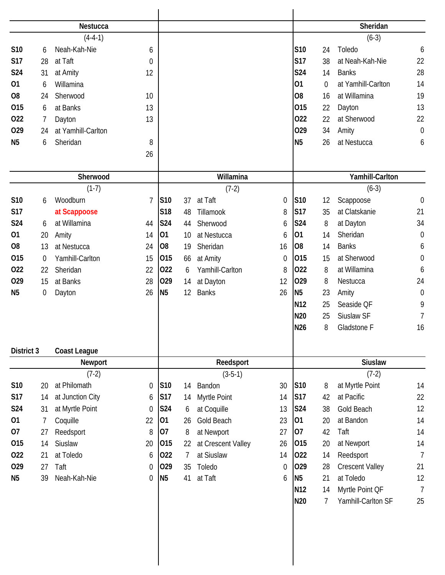|                |                  | Nestucca            |                |                 |    |                    |             |                 |                | Sheridan               |                  |
|----------------|------------------|---------------------|----------------|-----------------|----|--------------------|-------------|-----------------|----------------|------------------------|------------------|
|                |                  | $(4-4-1)$           |                |                 |    |                    |             |                 |                | $(6-3)$                |                  |
| S10            | 6                | Neah-Kah-Nie        | 6              |                 |    |                    |             | S10             | 24             | Toledo                 | 6                |
| <b>S17</b>     | 28               | at Taft             | $\mathbf 0$    |                 |    |                    |             | <b>S17</b>      | 38             | at Neah-Kah-Nie        | 22               |
| S24            | 31               | at Amity            | 12             |                 |    |                    |             | <b>S24</b>      | 14             | <b>Banks</b>           | 28               |
| 01             | 6                | Willamina           |                |                 |    |                    |             | 01              | $\overline{0}$ | at Yamhill-Carlton     | 14               |
| O <sub>8</sub> | 24               | Sherwood            | 10             |                 |    |                    |             | O <sub>8</sub>  | 16             | at Willamina           | 19               |
| 015            | 6                | at Banks            | 13             |                 |    |                    |             | 015             | 22             | Dayton                 | 13               |
| 022            | 7                | Dayton              | 13             |                 |    |                    |             | 022             | 22             | at Sherwood            | 22               |
| 029            | 24               | at Yamhill-Carlton  |                |                 |    |                    |             | 029             | 34             | Amity                  | $\mathbf 0$      |
| N <sub>5</sub> | 6                | Sheridan            | 8              |                 |    |                    |             | <b>N5</b>       | 26             | at Nestucca            | 6                |
|                |                  |                     | 26             |                 |    |                    |             |                 |                |                        |                  |
|                |                  |                     |                |                 |    |                    |             |                 |                |                        |                  |
|                |                  | Sherwood            |                |                 |    | Willamina          |             |                 |                | Yamhill-Carlton        |                  |
|                |                  | $(1-7)$             |                |                 |    | $(7-2)$            |             |                 |                | $(6-3)$                |                  |
| S10            | 6                | Woodburn            | $\overline{7}$ | S10             | 37 | at Taft            | 0           | S10             | 12             | Scappoose              | $\boldsymbol{0}$ |
| <b>S17</b>     |                  | at Scappoose        |                | S18             | 48 | Tillamook          | 8           | <b>S17</b>      | 35             | at Clatskanie          | 21               |
| <b>S24</b>     | 6                | at Willamina        | 44             | S24             | 44 | Sherwood           | 6           | <b>S24</b>      | 8              | at Dayton              | 34               |
| 01             | 20               | Amity               | 14             | 01              | 10 | at Nestucca        | 6           | 01              | 14             | Sheridan               | $\boldsymbol{0}$ |
| O <sub>8</sub> | 13               | at Nestucca         | 24             | O <sub>8</sub>  | 19 | Sheridan           | 16          | O <sub>8</sub>  | 14             | <b>Banks</b>           | 6                |
| 015            | 0                | Yamhill-Carlton     | 15             | 015             | 66 | at Amity           | $\mathbf 0$ | 015             | 15             | at Sherwood            | $\boldsymbol{0}$ |
| 022            | 22               | Sheridan            | 22             | 022             | 6  | Yamhill-Carlton    | 8           | 022             | 8              | at Willamina           | 6                |
| 029            | 15               | at Banks            | 28             | 029             | 14 | at Dayton          | 12          | 029             | 8              | Nestucca               | 24               |
| N <sub>5</sub> | $\boldsymbol{0}$ | Dayton              | 26             | N <sub>5</sub>  | 12 | <b>Banks</b>       | 26          | N <sub>5</sub>  | 23             | Amity                  | $\mathbf 0$      |
|                |                  |                     |                |                 |    |                    |             | N12             | 25             | Seaside QF             | 9                |
|                |                  |                     |                |                 |    |                    |             | N20             | 25             | Siuslaw SF             | 7                |
|                |                  |                     |                |                 |    |                    |             | <b>N26</b>      | 8              | Gladstone F            | 16               |
| District 3     |                  | <b>Coast League</b> |                |                 |    |                    |             |                 |                |                        |                  |
|                |                  | Newport             |                |                 |    | Reedsport          |             |                 |                | <b>Siuslaw</b>         |                  |
|                |                  | $(7-2)$             |                |                 |    | $(3-5-1)$          |             |                 |                | $(7-2)$                |                  |
| S10            | 20               | at Philomath        | 0              | S <sub>10</sub> | 14 | Bandon             | 30          | S10             | 8              | at Myrtle Point        | 14               |
| <b>S17</b>     | 14               | at Junction City    | 6              | <b>S17</b>      | 14 | Myrtle Point       | 14          | <b>S17</b>      | 42             | at Pacific             | 22               |
| S24            | 31               | at Myrtle Point     | $\theta$       | <b>S24</b>      | 6  | at Coquille        | 13          | S24             | 38             | Gold Beach             | 12               |
| 01             | 7                | Coquille            | 22             | 01              | 26 | Gold Beach         | 23          | 01              | 20             | at Bandon              | 14               |
| 07             | 27               | Reedsport           | 8              | 07              | 8  | at Newport         | 27          | 07              | 42             | Taft                   | 14               |
| 015            | 14               | Siuslaw             | 20             | 015             | 22 | at Crescent Valley | 26          | 015             | 20             | at Newport             | 14               |
| 022            | 21               | at Toledo           | 6              | 022             | 7  | at Siuslaw         | 14          | 022             | 14             | Reedsport              | $\overline{1}$   |
| 029            | 27               | Taft                | $\mathbf 0$    | 029             | 35 | Toledo             | $\mathbf 0$ | 029             | 28             | <b>Crescent Valley</b> | 21               |
| N <sub>5</sub> | 39               | Neah-Kah-Nie        | $\mathbf 0$    | <b>N5</b>       | 41 | at Taft            | 6           | N <sub>5</sub>  | 21             | at Toledo              | 12               |
|                |                  |                     |                |                 |    |                    |             | N <sub>12</sub> | 14             | Myrtle Point QF        | $\overline{1}$   |
|                |                  |                     |                |                 |    |                    |             | N20             | 7              | Yamhill-Carlton SF     | 25               |
|                |                  |                     |                |                 |    |                    |             |                 |                |                        |                  |
|                |                  |                     |                |                 |    |                    |             |                 |                |                        |                  |
|                |                  |                     |                |                 |    |                    |             |                 |                |                        |                  |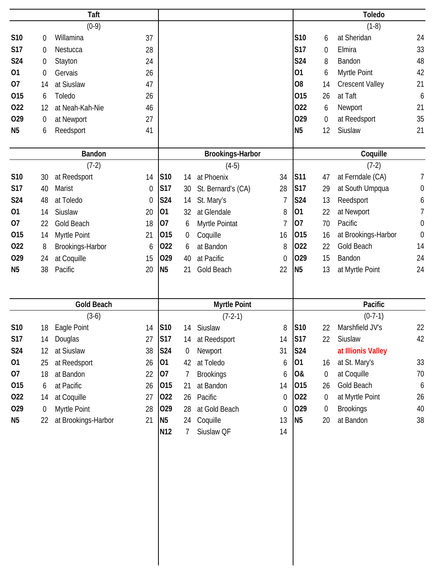| Taft            |    |                     |             |                         |                  |                     |                  |                |                  | <b>Toledo</b>          |                  |  |  |
|-----------------|----|---------------------|-------------|-------------------------|------------------|---------------------|------------------|----------------|------------------|------------------------|------------------|--|--|
|                 |    | $(0-9)$             |             |                         |                  |                     |                  |                |                  | $(1-8)$                |                  |  |  |
| S10             | 0  | Willamina           | 37          |                         |                  |                     |                  | S10            | 6                | at Sheridan            | 24               |  |  |
| <b>S17</b>      | 0  | Nestucca            | 28          |                         |                  |                     |                  | <b>S17</b>     | 0                | Elmira                 | 33               |  |  |
| S24             | 0  | Stayton             | 24          |                         |                  |                     |                  | S24            | 8                | Bandon                 | 48               |  |  |
| 01              | 0  | Gervais             | 26          |                         |                  |                     |                  | 01             | 6                | Myrtle Point           | 42               |  |  |
| 07              | 14 | at Siuslaw          | 47          |                         |                  |                     |                  | O <sub>8</sub> | 14               | <b>Crescent Valley</b> | 21               |  |  |
| 015             | 6  | Toledo              | 26          |                         |                  |                     |                  | 015            | 26               | at Taft                | 6                |  |  |
| 022             | 12 | at Neah-Kah-Nie     | 46          |                         |                  |                     |                  | 022            | 6                | Newport                | 21               |  |  |
| 029             | 0  | at Newport          | 27          |                         |                  |                     |                  | 029            | 0                | at Reedsport           | 35               |  |  |
| N <sub>5</sub>  | 6  | Reedsport           | 41          |                         |                  |                     |                  | N <sub>5</sub> | 12               | Siuslaw                | 21               |  |  |
| <b>Bandon</b>   |    |                     |             | <b>Brookings-Harbor</b> |                  |                     |                  |                | Coquille         |                        |                  |  |  |
|                 |    | $(7-2)$             |             |                         |                  | $(4-5)$             |                  |                |                  | $(7-2)$                |                  |  |  |
| S <sub>10</sub> | 30 | at Reedsport        | 14          | S10                     | 14               | at Phoenix          | 34               | <b>S11</b>     | 47               | at Ferndale (CA)       | 7                |  |  |
| <b>S17</b>      | 40 | Marist              | 0           | <b>S17</b>              | 30               | St. Bernard's (CA)  | 28               | <b>S17</b>     | 29               | at South Umpqua        | $\boldsymbol{0}$ |  |  |
| S24             | 48 | at Toledo           | $\mathbf 0$ | <b>S24</b>              | 14               | St. Mary's          | 7                | <b>S24</b>     | 13               | Reedsport              | 6                |  |  |
| 01              | 14 | Siuslaw             | 20          | 01                      | 32               | at Glendale         | 8                | 01             | 22               | at Newport             | 7                |  |  |
| 07              | 22 | Gold Beach          | 18          | 07                      | 6                | Myrtle Pointat      | $\overline{1}$   | 07             | 70               | Pacific                | $\boldsymbol{0}$ |  |  |
| 015             | 14 | Myrtle Point        | 21          | 015                     | 0                | Coquille            | 16               | 015            | 16               | at Brookings-Harbor    | $\mathbf 0$      |  |  |
| 022             | 8  | Brookings-Harbor    | 6           | 022                     | 6                | at Bandon           | 8                | 022            | 22               | Gold Beach             | 14               |  |  |
| 029             | 24 | at Coquille         | 15          | 029                     | 40               | at Pacific          | $\mathbf 0$      | 029            | 15               | Bandon                 | 24               |  |  |
| N <sub>5</sub>  | 38 | Pacific             | 20          | N <sub>5</sub>          | 21               | Gold Beach          | 22               | N <sub>5</sub> | 13               | at Myrtle Point        | 24               |  |  |
|                 |    |                     |             |                         |                  |                     |                  |                |                  |                        |                  |  |  |
|                 |    | <b>Gold Beach</b>   |             |                         |                  | <b>Myrtle Point</b> |                  |                |                  | Pacific                |                  |  |  |
|                 |    | $(3-6)$             |             |                         |                  | $(7-2-1)$           |                  |                |                  | $(0-7-1)$              |                  |  |  |
| S10             | 18 | Eagle Point         | 14          | S10                     |                  | 14 Siuslaw          | 8                | S10            | 22               | Marshfield JV's        | 22               |  |  |
| <b>S17</b>      | 14 | Douglas             | 27          | S17                     | 14               | at Reedsport        | 14               | S17            | 22               | Siuslaw                | 42               |  |  |
| S24             | 12 | at Siuslaw          | 38          | <b>S24</b>              | $\boldsymbol{0}$ | Newport             | 31               | <b>S24</b>     |                  | at Illionis Valley     |                  |  |  |
| 01              | 25 | at Reedsport        | 26          | 01                      | 42               | at Toledo           | 6                | 01             | 16               | at St. Mary's          | 33               |  |  |
| 07              | 18 | at Bandon           | 22          | 07                      | 7                | <b>Brookings</b>    | 6                | 0&             | 0                | at Coquille            | 70               |  |  |
| 015             | 6  | at Pacific          | 26          | 015                     | 21               | at Bandon           | 14               | 015            | 26               | Gold Beach             | $\boldsymbol{6}$ |  |  |
| 022             | 14 | at Coquille         | 27          | 022                     | 26               | Pacific             | $\boldsymbol{0}$ | 022            | $\boldsymbol{0}$ | at Myrtle Point        | 26               |  |  |
| 029             | 0  | Myrtle Point        | 28          | 029                     | 28               | at Gold Beach       | $\boldsymbol{0}$ | 029            | $\overline{0}$   | <b>Brookings</b>       | 40               |  |  |
| N <sub>5</sub>  | 22 | at Brookings-Harbor | 21          | N <sub>5</sub>          | 24               | Coquille            | 13               | <b>N5</b>      | 20               | at Bandon              | 38               |  |  |
|                 |    |                     |             | N <sub>12</sub>         | 7                | Siuslaw QF          | 14               |                |                  |                        |                  |  |  |
|                 |    |                     |             |                         |                  |                     |                  |                |                  |                        |                  |  |  |
|                 |    |                     |             |                         |                  |                     |                  |                |                  |                        |                  |  |  |
|                 |    |                     |             |                         |                  |                     |                  |                |                  |                        |                  |  |  |
|                 |    |                     |             |                         |                  |                     |                  |                |                  |                        |                  |  |  |
|                 |    |                     |             |                         |                  |                     |                  |                |                  |                        |                  |  |  |
|                 |    |                     |             |                         |                  |                     |                  |                |                  |                        |                  |  |  |
|                 |    |                     |             |                         |                  |                     |                  |                |                  |                        |                  |  |  |
|                 |    |                     |             |                         |                  |                     |                  |                |                  |                        |                  |  |  |
|                 |    |                     |             |                         |                  |                     |                  |                |                  |                        |                  |  |  |
|                 |    |                     |             |                         |                  |                     |                  |                |                  |                        |                  |  |  |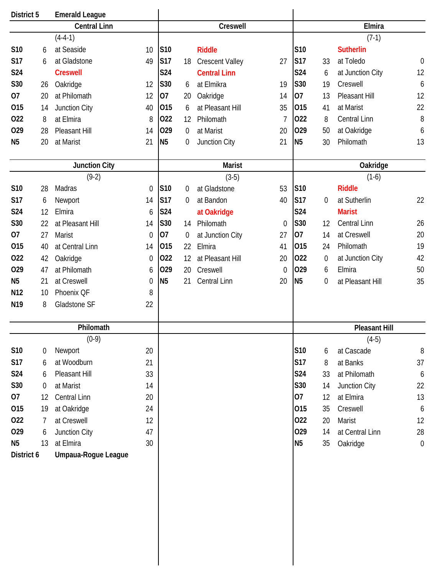| District 5      |                  | <b>Emerald League</b> |                  |                 |                  |                        |          |                |                |                      |                  |  |
|-----------------|------------------|-----------------------|------------------|-----------------|------------------|------------------------|----------|----------------|----------------|----------------------|------------------|--|
|                 |                  | <b>Central Linn</b>   |                  |                 |                  | Creswell               |          |                |                | Elmira               |                  |  |
|                 |                  | $(4-4-1)$             |                  |                 |                  |                        |          |                |                | $(7-1)$              |                  |  |
| S10             | 6                | at Seaside            | 10               | <b>S10</b>      |                  | <b>Riddle</b>          |          | S10            |                | <b>Sutherlin</b>     |                  |  |
| <b>S17</b>      | 6                | at Gladstone          | 49               | S17             | 18               | <b>Crescent Valley</b> | 27       | <b>S17</b>     | 33             | at Toledo            | $\boldsymbol{0}$ |  |
| S24             |                  | <b>Creswell</b>       |                  | S24             |                  | <b>Central Linn</b>    |          | S24            | 6              | at Junction City     | 12               |  |
| <b>S30</b>      | 26               | Oakridge              | 12               | S30             | 6                | at Elmikra             | 19       | S30            | 19             | Creswell             | 6                |  |
| 07              | 20               | at Philomath          | 12               | 07              | 20               | Oakridge               | 14       | 07             | 13             | Pleasant Hill        | 12               |  |
| 015             | 14               | Junction City         | 40               | 015             | 6                | at Pleasant Hill       | 35       | 015            | 41             | at Marist            | 22               |  |
| 022             | 8                | at Elmira             | 8                | 022             | 12               | Philomath              | 7        | 022            | 8              | Central Linn         | 8                |  |
| 029             | 28               | Pleasant Hill         | 14               | 029             | $\overline{0}$   | at Marist              | 20       | 029            | 50             | at Oakridge          | 6                |  |
| N <sub>5</sub>  | 20               | at Marist             | 21               | N <sub>5</sub>  | 0                | Junction City          | 21       | <b>N5</b>      | 30             | Philomath            | 13               |  |
|                 |                  |                       |                  |                 |                  |                        |          |                |                |                      |                  |  |
|                 |                  | <b>Junction City</b>  |                  |                 | <b>Marist</b>    |                        |          | Oakridge       |                |                      |                  |  |
|                 |                  | $(9-2)$               |                  |                 |                  | $(3-5)$                |          |                |                | $(1-6)$              |                  |  |
| S10             | 28               | Madras                | 0                | S <sub>10</sub> | 0                | at Gladstone           | 53       | S10            |                | <b>Riddle</b>        |                  |  |
| <b>S17</b>      | 6                | Newport               | 14               | S17             | $\overline{0}$   | at Bandon              | 40       | <b>S17</b>     | $\overline{0}$ | at Sutherlin         | 22               |  |
| S24             | 12               | Elmira                | 6                | S24             |                  | at Oakridge            |          | S24            |                | <b>Marist</b>        |                  |  |
| S30             | 22               | at Pleasant Hill      | 14               | S30             | 14               | Philomath              | $\theta$ | S30            | 12             | <b>Central Linn</b>  | 26               |  |
| 07              | 27               | <b>Marist</b>         | $\mathbf 0$      | 07              | $\boldsymbol{0}$ | at Junction City       | 27       | 07             | 14             | at Creswell          | 20               |  |
| 015             | 40               | at Central Linn       | 14               | 015             | 22               | Elmira                 | 41       | 015            | 24             | Philomath            | 19               |  |
| 022             | 42               | Oakridge              | $\boldsymbol{0}$ | 022             | 12               | at Pleasant Hill       | 20       | 022            | 0              | at Junction City     | 42               |  |
| 029             | 47               | at Philomath          | 6                | 029             | 20               | Creswell               | $\theta$ | 029            | 6              | Elmira               | 50               |  |
| N <sub>5</sub>  | 21               | at Creswell           | 0                | N <sub>5</sub>  | 21               | Central Linn           | 20       | N <sub>5</sub> | 0              | at Pleasant Hill     | 35               |  |
| N <sub>12</sub> | 10               | Phoenix QF            | 8                |                 |                  |                        |          |                |                |                      |                  |  |
| N <sub>19</sub> | 8                | Gladstone SF          | 22               |                 |                  |                        |          |                |                |                      |                  |  |
|                 |                  |                       |                  |                 |                  |                        |          |                |                |                      |                  |  |
|                 |                  | Philomath             |                  |                 |                  |                        |          |                |                | <b>Pleasant Hill</b> |                  |  |
|                 |                  | $(0-9)$               |                  |                 |                  |                        |          |                |                | $(4-5)$              |                  |  |
| S10             | 0                | Newport               | 20               |                 |                  |                        |          | S10            | 6              | at Cascade           | $8\,$            |  |
| <b>S17</b>      | 6                | at Woodburn           | 21               |                 |                  |                        |          | S17            | 8              | at Banks             | 37               |  |
| S24             | 6                | Pleasant Hill         | 33               |                 |                  |                        |          | S24            | 33             | at Philomath         | 6                |  |
| S30             | $\boldsymbol{0}$ | at Marist             | 14               |                 |                  |                        |          | S30            | 14             | Junction City        | 22               |  |
| 07              | 12               | Central Linn          | 20               |                 |                  |                        |          | 07             | 12             | at Elmira            | 13               |  |
| 015             | 19               | at Oakridge           | 24               |                 |                  |                        |          | 015            | 35             | Creswell             | $\boldsymbol{6}$ |  |
| 022             | 7                | at Creswell           | 12               |                 |                  |                        |          | 022            | 20             | Marist               | 12               |  |
| 029             | 6                | Junction City         | 47               |                 |                  |                        |          | 029            | 14             | at Central Linn      | 28               |  |
| N <sub>5</sub>  | 13               | at Elmira             | 30               |                 |                  |                        |          | <b>N5</b>      | 35             | Oakridge             | $\boldsymbol{0}$ |  |
| District 6      |                  | Umpaua-Rogue League   |                  |                 |                  |                        |          |                |                |                      |                  |  |
|                 |                  |                       |                  |                 |                  |                        |          |                |                |                      |                  |  |
|                 |                  |                       |                  |                 |                  |                        |          |                |                |                      |                  |  |
|                 |                  |                       |                  |                 |                  |                        |          |                |                |                      |                  |  |
|                 |                  |                       |                  |                 |                  |                        |          |                |                |                      |                  |  |
|                 |                  |                       |                  |                 |                  |                        |          |                |                |                      |                  |  |
|                 |                  |                       |                  |                 |                  |                        |          |                |                |                      |                  |  |
|                 |                  |                       |                  |                 |                  |                        |          |                |                |                      |                  |  |
|                 |                  |                       |                  |                 |                  |                        |          |                |                |                      |                  |  |

 $\overline{\phantom{a}}$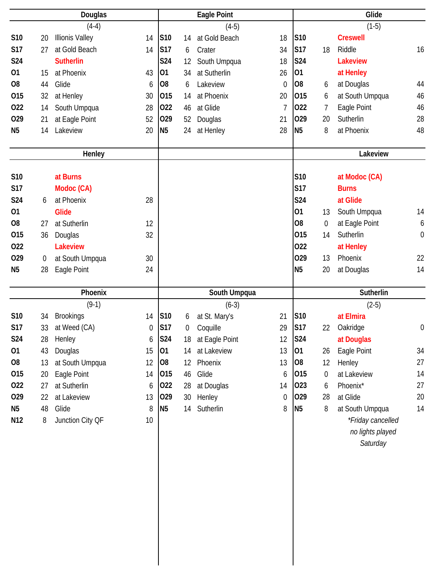|                | Douglas |                        |                  | Eagle Point    |    |                |                  | Glide          |    |                   |                  |  |
|----------------|---------|------------------------|------------------|----------------|----|----------------|------------------|----------------|----|-------------------|------------------|--|
|                |         | $(4-4)$                |                  |                |    | $(4-5)$        |                  |                |    | $(1-5)$           |                  |  |
| S10            | 20      | <b>Illionis Valley</b> | 14               | S10            | 14 | at Gold Beach  | 18               | S10            |    | <b>Creswell</b>   |                  |  |
| <b>S17</b>     | 27      | at Gold Beach          | 14               | <b>S17</b>     | 6  | Crater         | 34               | <b>S17</b>     | 18 | Riddle            | 16               |  |
| S24            |         | <b>Sutherlin</b>       |                  | <b>S24</b>     | 12 | South Umpqua   | 18               | S24            |    | <b>Lakeview</b>   |                  |  |
| 01             | 15      | at Phoenix             | 43               | 01             | 34 | at Sutherlin   | 26               | 01             |    | at Henley         |                  |  |
| O <sub>8</sub> | 44      | Glide                  | 6                | <b>O8</b>      | 6  | Lakeview       | $\theta$         | O <sub>8</sub> | 6  | at Douglas        | 44               |  |
| 015            | 32      | at Henley              | 30               | 015            | 14 | at Phoenix     | 20               | 015            | 6  | at South Umpqua   | 46               |  |
| 022            | 14      | South Umpqua           | 28               | 022            | 46 | at Glide       | 7                | 022            | 7  | Eagle Point       | 46               |  |
| 029            | 21      | at Eagle Point         | 52               | 029            | 52 | Douglas        | 21               | 029            | 20 | Sutherlin         | 28               |  |
| N <sub>5</sub> | 14      | Lakeview               | 20               | N <sub>5</sub> | 24 | at Henley      | 28               | N <sub>5</sub> | 8  | at Phoenix        | 48               |  |
|                |         |                        |                  |                |    |                |                  |                |    |                   |                  |  |
|                |         | Henley                 |                  |                |    |                |                  |                |    | Lakeview          |                  |  |
|                |         |                        |                  |                |    |                |                  |                |    |                   |                  |  |
| S10            |         | at Burns               |                  |                |    |                |                  | S10            |    | at Modoc (CA)     |                  |  |
| <b>S17</b>     |         | Modoc (CA)             |                  |                |    |                |                  | <b>S17</b>     |    | <b>Burns</b>      |                  |  |
| <b>S24</b>     | 6       | at Phoenix             | 28               |                |    |                |                  | S24            |    | at Glide          |                  |  |
| 01             |         | <b>Glide</b>           |                  |                |    |                |                  | 01             | 13 | South Umpqua      | 14               |  |
| O <sub>8</sub> | 27      | at Sutherlin           | 12               |                |    |                |                  | O <sub>8</sub> | 0  | at Eagle Point    | 6                |  |
| 015            | 36      | Douglas                | 32               |                |    |                |                  | 015            | 14 | Sutherlin         | $\mathbf 0$      |  |
| 022            |         | <b>Lakeview</b>        |                  |                |    |                |                  | 022            |    | at Henley         |                  |  |
| 029            | 0       | at South Umpqua        | 30               |                |    |                |                  | 029            | 13 | Phoenix           | 22               |  |
| N <sub>5</sub> | 28      | Eagle Point            | 24               |                |    |                |                  | N <sub>5</sub> | 20 | at Douglas        | 14               |  |
|                |         | Phoenix                |                  |                |    | South Umpqua   |                  |                |    | Sutherlin         |                  |  |
|                |         |                        |                  |                |    |                |                  |                |    |                   |                  |  |
|                |         |                        |                  |                |    |                |                  |                |    |                   |                  |  |
|                |         | $(9-1)$                |                  |                |    | $(6-3)$        |                  |                |    | $(2-5)$           |                  |  |
| S10            | 34      | <b>Brookings</b>       | 14               | S10            | 6  | at St. Mary's  | 21               | S10            |    | at Elmira         |                  |  |
| <b>S17</b>     | 33      | at Weed (CA)           | $\boldsymbol{0}$ | S17            | 0  | Coquille       | 29               | S17            | 22 | Oakridge          | $\boldsymbol{0}$ |  |
| S24            | 28      | Henley                 | 6                | <b>S24</b>     | 18 | at Eagle Point | 12               | <b>S24</b>     |    | at Douglas        |                  |  |
| 01             | 43      | Douglas                | 15               | 01             | 14 | at Lakeview    | 13               | 01             | 26 | Eagle Point       | 34               |  |
| O <sub>8</sub> | 13      | at South Umpqua        | 12               | 08             | 12 | Phoenix        | 13               | 08             | 12 | Henley            | 27               |  |
| 015            | 20      | Eagle Point            | 14               | 015            | 46 | Glide          | 6                | 015            | 0  | at Lakeview       | 14               |  |
| 022            | 27      | at Sutherlin           | 6                | 022            | 28 | at Douglas     | 14               | 023            | 6  | Phoenix*          | 27               |  |
| 029            | 22      | at Lakeview            | 13               | 029            | 30 | Henley         | $\boldsymbol{0}$ | 029            | 28 | at Glide          | $20\,$           |  |
| N <sub>5</sub> | 48      | Glide                  | 8                | N <sub>5</sub> | 14 | Sutherlin      | 8                | N <sub>5</sub> | 8  | at South Umpqua   | 14               |  |
| N12            | 8       | Junction City QF       | 10               |                |    |                |                  |                |    | *Friday cancelled |                  |  |
|                |         |                        |                  |                |    |                |                  |                |    | no lights played  |                  |  |
|                |         |                        |                  |                |    |                |                  |                |    | Saturday          |                  |  |
|                |         |                        |                  |                |    |                |                  |                |    |                   |                  |  |
|                |         |                        |                  |                |    |                |                  |                |    |                   |                  |  |
|                |         |                        |                  |                |    |                |                  |                |    |                   |                  |  |
|                |         |                        |                  |                |    |                |                  |                |    |                   |                  |  |
|                |         |                        |                  |                |    |                |                  |                |    |                   |                  |  |
|                |         |                        |                  |                |    |                |                  |                |    |                   |                  |  |
|                |         |                        |                  |                |    |                |                  |                |    |                   |                  |  |
|                |         |                        |                  |                |    |                |                  |                |    |                   |                  |  |
|                |         |                        |                  |                |    |                |                  |                |    |                   |                  |  |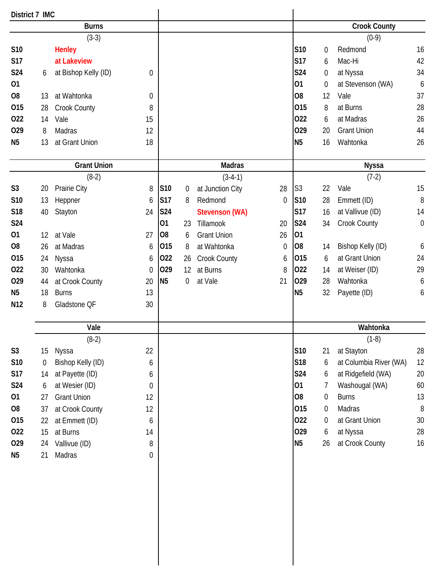| District 7 IMC  |             |                      |    |                |           |                       |                  |                |                  |                        |             |
|-----------------|-------------|----------------------|----|----------------|-----------|-----------------------|------------------|----------------|------------------|------------------------|-------------|
|                 |             | <b>Burns</b>         |    |                |           |                       |                  |                |                  | <b>Crook County</b>    |             |
|                 |             | $(3-3)$              |    |                |           |                       |                  |                |                  | $(0-9)$                |             |
| S10             |             | <b>Henley</b>        |    |                |           |                       |                  | S10            | 0                | Redmond                | 16          |
| <b>S17</b>      |             | at Lakeview          |    |                |           |                       |                  | <b>S17</b>     | 6                | Mac-Hi                 | 42          |
| <b>S24</b>      | 6           | at Bishop Kelly (ID) | 0  |                |           |                       |                  | <b>S24</b>     | $\boldsymbol{0}$ | at Nyssa               | 34          |
| 01              |             |                      |    |                |           |                       |                  | 01             | $\boldsymbol{0}$ | at Stevenson (WA)      | 6           |
| O <sub>8</sub>  | 13          | at Wahtonka          | 0  |                |           |                       |                  | O <sub>8</sub> | 12               | Vale                   | 37          |
| 015             | 28          | Crook County         | 8  |                |           |                       |                  | 015            | 8                | at Burns               | 28          |
| 022             | 14          | Vale                 | 15 |                |           |                       |                  | 022            | 6                | at Madras              | 26          |
| 029             | 8           | Madras               | 12 |                |           |                       |                  | 029            | 20               | <b>Grant Union</b>     | 44          |
| N <sub>5</sub>  | 13          | at Grant Union       | 18 |                |           |                       |                  | N <sub>5</sub> | 16               | Wahtonka               | 26          |
|                 |             |                      |    |                |           |                       |                  |                |                  |                        |             |
|                 |             | <b>Grant Union</b>   |    |                |           | <b>Madras</b>         |                  |                |                  | <b>Nyssa</b>           |             |
|                 |             | $(8-2)$              |    |                |           | $(3-4-1)$             |                  |                |                  | $(7-2)$                |             |
| S <sub>3</sub>  | 20          | Prairie City         | 8  | S10            | $\pmb{0}$ | at Junction City      | 28               | S <sub>3</sub> | 22               | Vale                   | 15          |
| S10             | 13          | Heppner              | 6  | S17            | 8         | Redmond               | $\theta$         | S10            | 28               | Emmett (ID)            | 8           |
| <b>S18</b>      | 40          | Stayton              | 24 | S24            |           | <b>Stevenson (WA)</b> |                  | <b>S17</b>     | 16               | at Vallivue (ID)       | 14          |
| <b>S24</b>      |             |                      |    | 01             | 23        | Tillamook             | 20               | <b>S24</b>     | 34               | Crook County           | $\mathbf 0$ |
| 01              | 12          | at Vale              | 27 | O <sub>8</sub> | 6         | <b>Grant Union</b>    | 26               | 01             |                  |                        |             |
| O <sub>8</sub>  | 26          | at Madras            | 6  | 015            | 8         | at Wahtonka           | $\boldsymbol{0}$ | O <sub>8</sub> | 14               | Bishop Kelly (ID)      | 6           |
| 015             | 24          | Nyssa                | 6  | 022            | 26        | Crook County          | 6                | 015            | 6                | at Grant Union         | 24          |
| 022             | 30          | Wahtonka             | 0  | 029            | 12        | at Burns              | 8                | 022            | 14               | at Weiser (ID)         | 29          |
| 029             | 44          | at Crook County      | 20 | <b>N5</b>      | 0         | at Vale               | 21               | 029            | 28               | Wahtonka               | 6           |
| <b>N5</b>       | 18          | <b>Burns</b>         | 13 |                |           |                       |                  | <b>N5</b>      | 32               | Payette (ID)           | 6           |
| N <sub>12</sub> | 8           | Gladstone QF         | 30 |                |           |                       |                  |                |                  |                        |             |
|                 |             | Vale                 |    |                |           |                       |                  |                |                  | Wahtonka               |             |
|                 |             | $(8-2)$              |    |                |           |                       |                  |                |                  | $(1-8)$                |             |
| S <sub>3</sub>  | 15          | Nyssa                | 22 |                |           |                       |                  | <b>S10</b>     | 21               | at Stayton             | 28          |
| S10             | $\mathbf 0$ | Bishop Kelly (ID)    | 6  |                |           |                       |                  | S18            | 6                | at Columbia River (WA) | 12          |
| <b>S17</b>      | 14          | at Payette (ID)      | 6  |                |           |                       |                  | <b>S24</b>     | 6                | at Ridgefield (WA)     | $20\,$      |
| <b>S24</b>      | 6           | at Wesier (ID)       | 0  |                |           |                       |                  | 01             | 7                | Washougal (WA)         | 60          |
| 01              | 27          | <b>Grant Union</b>   | 12 |                |           |                       |                  | O <sub>8</sub> | 0                | <b>Burns</b>           | 13          |
| O <sub>8</sub>  | 37          | at Crook County      | 12 |                |           |                       |                  | 015            | $\boldsymbol{0}$ | Madras                 | $8\,$       |
| 015             | 22          | at Emmett (ID)       | 6  |                |           |                       |                  | 022            | 0                | at Grant Union         | 30          |
| 022             | 15          | at Burns             | 14 |                |           |                       |                  | 029            | 6                | at Nyssa               | 28          |
| 029             | 24          | Vallivue (ID)        | 8  |                |           |                       |                  | <b>N5</b>      | 26               | at Crook County        | 16          |
| N <sub>5</sub>  | 21          | Madras               | 0  |                |           |                       |                  |                |                  |                        |             |
|                 |             |                      |    |                |           |                       |                  |                |                  |                        |             |
|                 |             |                      |    |                |           |                       |                  |                |                  |                        |             |
|                 |             |                      |    |                |           |                       |                  |                |                  |                        |             |
|                 |             |                      |    |                |           |                       |                  |                |                  |                        |             |
|                 |             |                      |    |                |           |                       |                  |                |                  |                        |             |
|                 |             |                      |    |                |           |                       |                  |                |                  |                        |             |
|                 |             |                      |    |                |           |                       |                  |                |                  |                        |             |